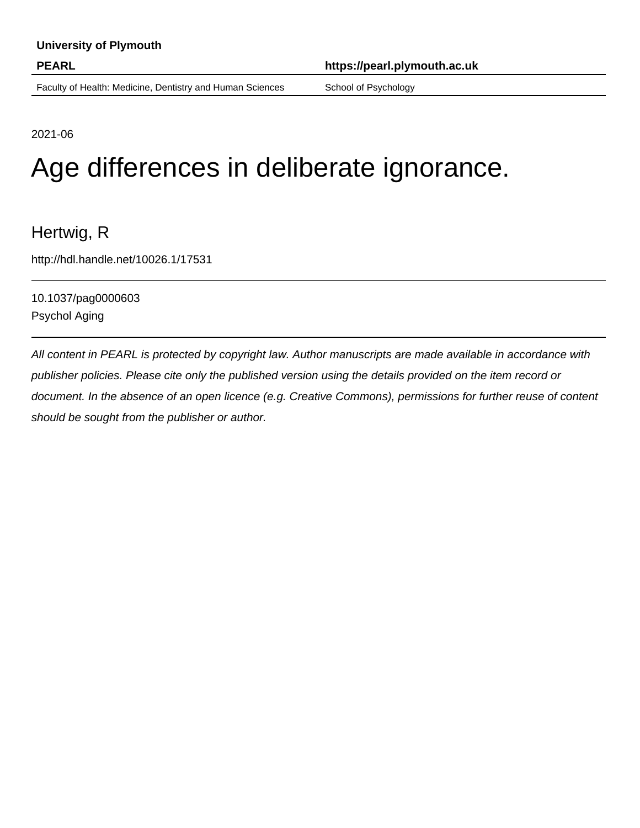Faculty of Health: Medicine, Dentistry and Human Sciences School of Psychology

**PEARL https://pearl.plymouth.ac.uk**

2021-06

# Age differences in deliberate ignorance.

## Hertwig, R

http://hdl.handle.net/10026.1/17531

10.1037/pag0000603 Psychol Aging

All content in PEARL is protected by copyright law. Author manuscripts are made available in accordance with publisher policies. Please cite only the published version using the details provided on the item record or document. In the absence of an open licence (e.g. Creative Commons), permissions for further reuse of content should be sought from the publisher or author.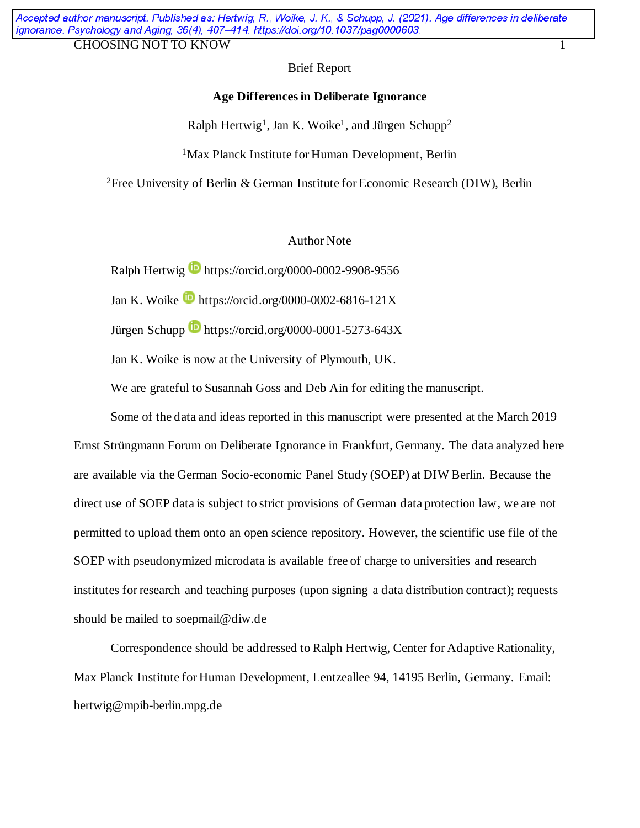### Brief Report

### **Age Differencesin Deliberate Ignorance**

Ralph Hertwig<sup>1</sup>, Jan K. Woike<sup>1</sup>, and Jürgen Schupp<sup>2</sup>

<sup>1</sup>Max Planck Institute for Human Development, Berlin

<sup>2</sup>Free University of Berlin & German Institute for Economic Research (DIW), Berlin

### Author Note

Ralph Hertwig **b** https://orcid.org/0000-0002-9908-9556

Jan K. Woike  $\blacksquare$  https://orcid.org/0000-0002-6816-121X

Jürgen Schupp  $\blacksquare$  https://orcid.org/0000-0001-5273-643X

Jan K. Woike is now at the University of Plymouth, UK.

We are grateful to Susannah Goss and Deb Ain for editing the manuscript.

Some of the data and ideas reported in this manuscript were presented at the March 2019 Ernst Strüngmann Forum on Deliberate Ignorance in Frankfurt, Germany. The data analyzed here are available via the German Socio-economic Panel Study (SOEP) at DIW Berlin. Because the direct use of SOEP data is subject to strict provisions of German data protection law, we are not permitted to upload them onto an open science repository. However, the scientific use file of the SOEP with pseudonymized microdata is available free of charge to universities and research institutes for research and teaching purposes (upon signing a data distribution contract); requests should be mailed to soepmail@diw.de

Correspondence should be addressed to Ralph Hertwig, Center for Adaptive Rationality, Max Planck Institute for Human Development, Lentzeallee 94, 14195 Berlin, Germany. Email: hertwig@mpib-berlin.mpg.de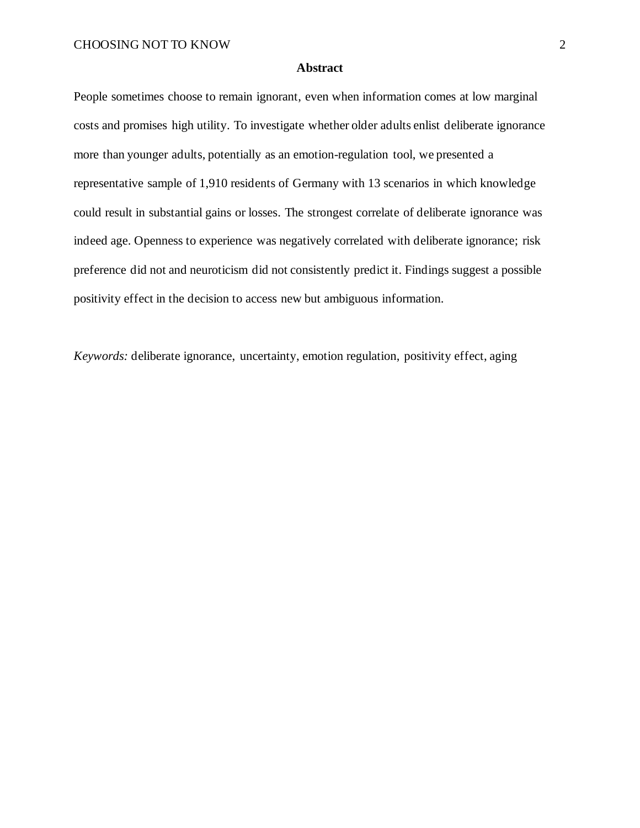#### **Abstract**

People sometimes choose to remain ignorant, even when information comes at low marginal costs and promises high utility. To investigate whether older adults enlist deliberate ignorance more than younger adults, potentially as an emotion-regulation tool, we presented a representative sample of 1,910 residents of Germany with 13 scenarios in which knowledge could result in substantial gains or losses. The strongest correlate of deliberate ignorance was indeed age. Openness to experience was negatively correlated with deliberate ignorance; risk preference did not and neuroticism did not consistently predict it. Findings suggest a possible positivity effect in the decision to access new but ambiguous information.

*Keywords:* deliberate ignorance, uncertainty, emotion regulation, positivity effect, aging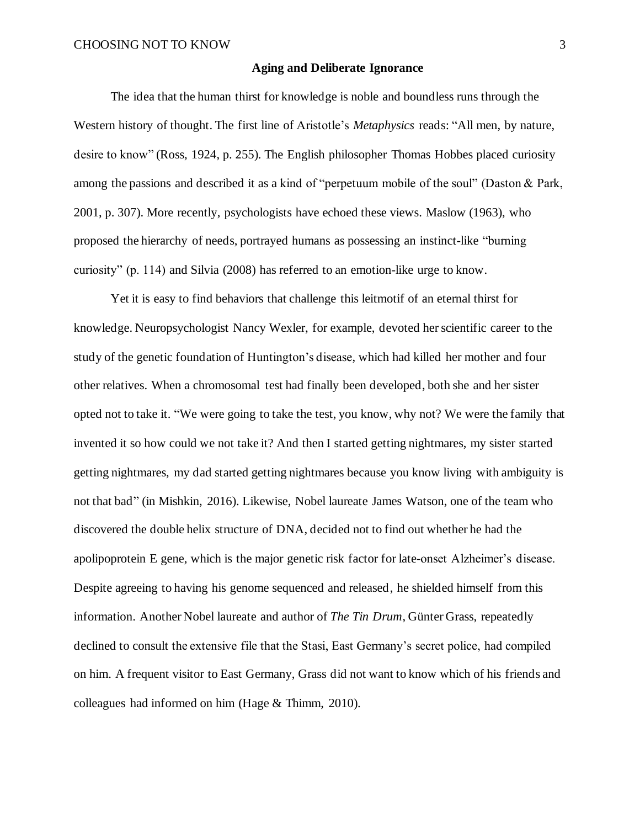### **Aging and Deliberate Ignorance**

The idea that the human thirst for knowledge is noble and boundless runs through the Western history of thought. The first line of Aristotle's *Metaphysics* reads: "All men, by nature, desire to know" (Ross, 1924, p. 255). The English philosopher Thomas Hobbes placed curiosity among the passions and described it as a kind of "perpetuum mobile of the soul" (Daston & Park, 2001, p. 307). More recently, psychologists have echoed these views. Maslow (1963), who proposed the hierarchy of needs, portrayed humans as possessing an instinct-like "burning curiosity" (p. 114) and Silvia (2008) has referred to an emotion-like urge to know.

Yet it is easy to find behaviors that challenge this leitmotif of an eternal thirst for knowledge. Neuropsychologist Nancy Wexler, for example, devoted her scientific career to the study of the genetic foundation of Huntington's disease, which had killed her mother and four other relatives. When a chromosomal test had finally been developed, both she and her sister opted not to take it. "We were going to take the test, you know, why not? We were the family that invented it so how could we not take it? And then I started getting nightmares, my sister started getting nightmares, my dad started getting nightmares because you know living with ambiguity is not that bad" (in Mishkin, 2016). Likewise, Nobel laureate James Watson, one of the team who discovered the double helix structure of DNA, decided not to find out whether he had the apolipoprotein E gene, which is the major genetic risk factor for late-onset Alzheimer's disease. Despite agreeing to having his genome sequenced and released, he shielded himself from this information. Another Nobel laureate and author of *The Tin Drum*, Günter Grass, repeatedly declined to consult the extensive file that the Stasi, East Germany's secret police, had compiled on him. A frequent visitor to East Germany, Grass did not want to know which of his friends and colleagues had informed on him (Hage & Thimm, 2010).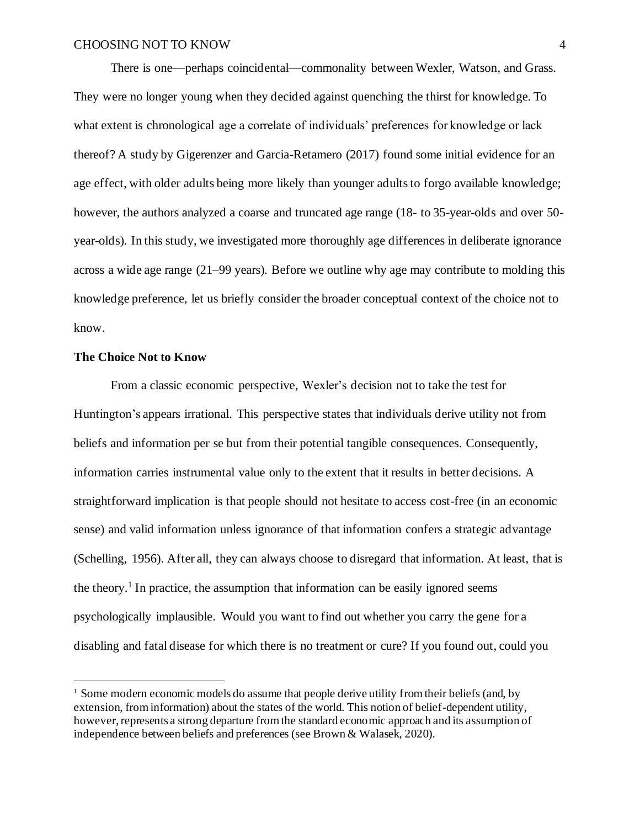There is one—perhaps coincidental—commonality between Wexler, Watson, and Grass. They were no longer young when they decided against quenching the thirst for knowledge. To what extent is chronological age a correlate of individuals' preferences for knowledge or lack thereof? A study by Gigerenzer and Garcia-Retamero (2017) found some initial evidence for an age effect, with older adults being more likely than younger adults to forgo available knowledge; however, the authors analyzed a coarse and truncated age range (18- to 35-year-olds and over 50 year-olds). In this study, we investigated more thoroughly age differences in deliberate ignorance across a wide age range (21–99 years). Before we outline why age may contribute to molding this knowledge preference, let us briefly consider the broader conceptual context of the choice not to know.

### **The Choice Not to Know**

From a classic economic perspective, Wexler's decision not to take the test for Huntington's appears irrational. This perspective states that individuals derive utility not from beliefs and information per se but from their potential tangible consequences. Consequently, information carries instrumental value only to the extent that it results in better decisions. A straightforward implication is that people should not hesitate to access cost-free (in an economic sense) and valid information unless ignorance of that information confers a strategic advantage (Schelling, 1956). After all, they can always choose to disregard that information. At least, that is the theory.<sup>1</sup> In practice, the assumption that information can be easily ignored seems psychologically implausible. Would you want to find out whether you carry the gene for a disabling and fatal disease for which there is no treatment or cure? If you found out, could you

<sup>&</sup>lt;sup>1</sup> Some modern economic models do assume that people derive utility from their beliefs (and, by extension, from information) about the states of the world. This notion of belief-dependent utility, however, represents a strong departure from the standard economic approach and its assumption of independence between beliefs and preferences (see Brown & Walasek, 2020).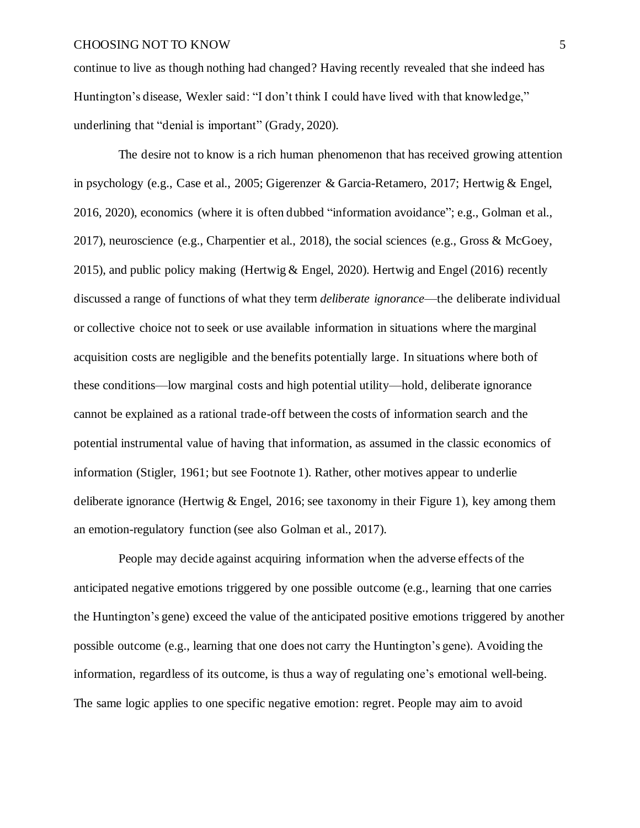continue to live as though nothing had changed? Having recently revealed that she indeed has Huntington's disease, Wexler said: "I don't think I could have lived with that knowledge," underlining that "denial is important" (Grady, 2020).

The desire not to know is a rich human phenomenon that has received growing attention in psychology (e.g., Case et al., 2005; Gigerenzer & Garcia-Retamero, 2017; Hertwig & Engel, 2016, 2020), economics (where it is often dubbed "information avoidance"; e.g., Golman et al., 2017), neuroscience (e.g., Charpentier et al., 2018), the social sciences (e.g., Gross & McGoey, 2015), and public policy making (Hertwig & Engel, 2020). Hertwig and Engel (2016) recently discussed a range of functions of what they term *deliberate ignorance*—the deliberate individual or collective choice not to seek or use available information in situations where the marginal acquisition costs are negligible and the benefits potentially large. In situations where both of these conditions—low marginal costs and high potential utility—hold, deliberate ignorance cannot be explained as a rational trade-off between the costs of information search and the potential instrumental value of having that information, as assumed in the classic economics of information (Stigler, 1961; but see Footnote 1). Rather, other motives appear to underlie deliberate ignorance (Hertwig  $&$  Engel, 2016; see taxonomy in their Figure 1), key among them an emotion-regulatory function (see also Golman et al., 2017).

People may decide against acquiring information when the adverse effects of the anticipated negative emotions triggered by one possible outcome (e.g., learning that one carries the Huntington's gene) exceed the value of the anticipated positive emotions triggered by another possible outcome (e.g., learning that one does not carry the Huntington's gene). Avoiding the information, regardless of its outcome, is thus a way of regulating one's emotional well-being. The same logic applies to one specific negative emotion: regret. People may aim to avoid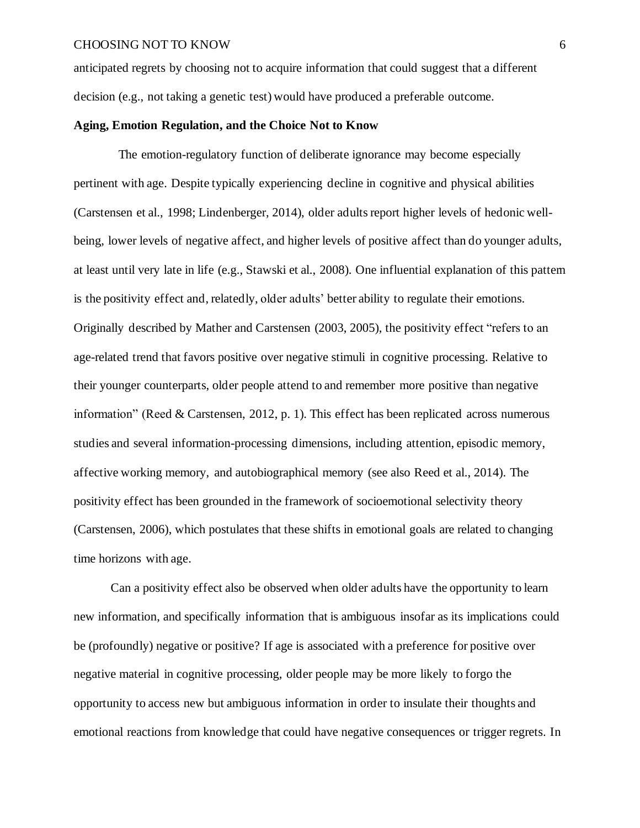anticipated regrets by choosing not to acquire information that could suggest that a different decision (e.g., not taking a genetic test) would have produced a preferable outcome.

### **Aging, Emotion Regulation, and the Choice Not to Know**

The emotion-regulatory function of deliberate ignorance may become especially pertinent with age. Despite typically experiencing decline in cognitive and physical abilities (Carstensen et al., 1998; Lindenberger, 2014), older adults report higher levels of hedonic wellbeing, lower levels of negative affect, and higher levels of positive affect than do younger adults, at least until very late in life (e.g., Stawski et al., 2008). One influential explanation of this pattern is the positivity effect and, relatedly, older adults' better ability to regulate their emotions. Originally described by Mather and Carstensen (2003, 2005), the positivity effect "refers to an age-related trend that favors positive over negative stimuli in cognitive processing. Relative to their younger counterparts, older people attend to and remember more positive than negative information" (Reed & Carstensen, 2012, p. 1). This effect has been replicated across numerous studies and several information-processing dimensions, including attention, episodic memory, affective working memory, and autobiographical memory (see also Reed et al., 2014). The positivity effect has been grounded in the framework of socioemotional selectivity theory (Carstensen, 2006), which postulates that these shifts in emotional goals are related to changing time horizons with age.

Can a positivity effect also be observed when older adults have the opportunity to learn new information, and specifically information that is ambiguous insofar as its implications could be (profoundly) negative or positive? If age is associated with a preference for positive over negative material in cognitive processing, older people may be more likely to forgo the opportunity to access new but ambiguous information in order to insulate their thoughts and emotional reactions from knowledge that could have negative consequences or trigger regrets. In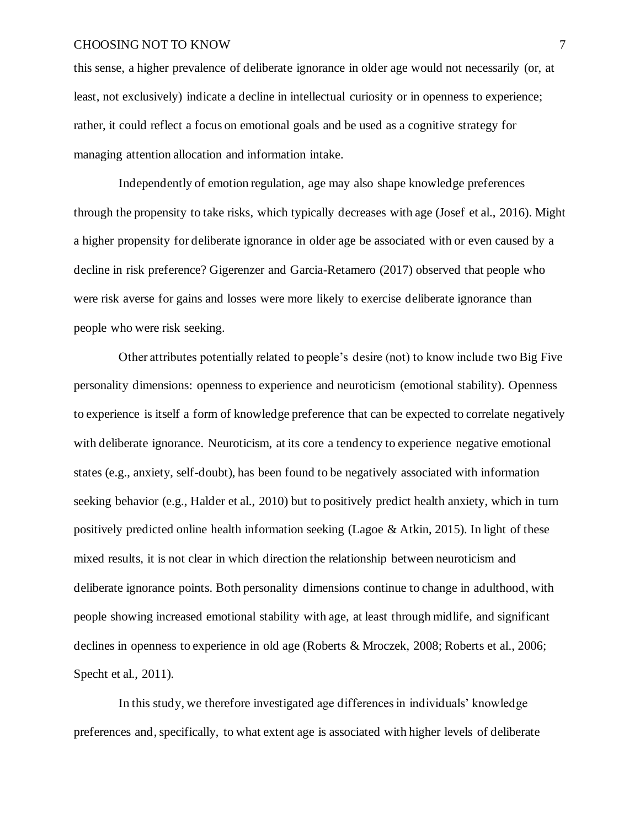this sense, a higher prevalence of deliberate ignorance in older age would not necessarily (or, at least, not exclusively) indicate a decline in intellectual curiosity or in openness to experience; rather, it could reflect a focus on emotional goals and be used as a cognitive strategy for managing attention allocation and information intake.

Independently of emotion regulation, age may also shape knowledge preferences through the propensity to take risks, which typically decreases with age (Josef et al., 2016). Might a higher propensity for deliberate ignorance in older age be associated with or even caused by a decline in risk preference? Gigerenzer and Garcia-Retamero (2017) observed that people who were risk averse for gains and losses were more likely to exercise deliberate ignorance than people who were risk seeking.

Other attributes potentially related to people's desire (not) to know include two Big Five personality dimensions: openness to experience and neuroticism (emotional stability). Openness to experience is itself a form of knowledge preference that can be expected to correlate negatively with deliberate ignorance. Neuroticism, at its core a tendency to experience negative emotional states (e.g., anxiety, self-doubt), has been found to be negatively associated with information seeking behavior (e.g., Halder et al., 2010) but to positively predict health anxiety, which in turn positively predicted online health information seeking (Lagoe & Atkin, 2015). In light of these mixed results, it is not clear in which direction the relationship between neuroticism and deliberate ignorance points. Both personality dimensions continue to change in adulthood, with people showing increased emotional stability with age, at least through midlife, and significant declines in openness to experience in old age (Roberts & Mroczek, 2008; Roberts et al., 2006; Specht et al., 2011).

In this study, we therefore investigated age differences in individuals' knowledge preferences and,specifically, to what extent age is associated with higher levels of deliberate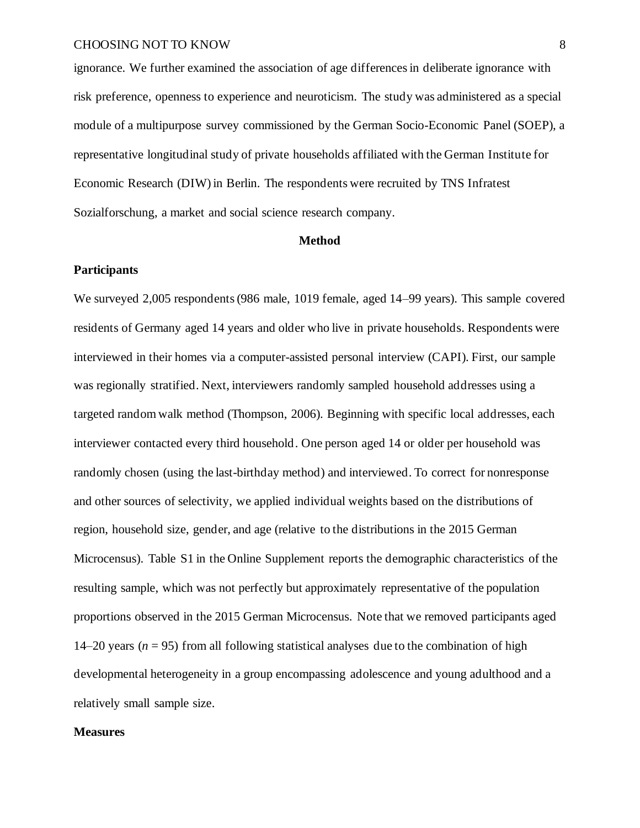ignorance. We further examined the association of age differencesin deliberate ignorance with risk preference, openness to experience and neuroticism. The study was administered as a special module of a multipurpose survey commissioned by the German Socio-Economic Panel (SOEP), a representative longitudinal study of private households affiliated with the German Institute for Economic Research (DIW) in Berlin. The respondents were recruited by TNS Infratest Sozialforschung, a market and social science research company.

### **Method**

### **Participants**

We surveyed 2,005 respondents (986 male, 1019 female, aged 14–99 years). This sample covered residents of Germany aged 14 years and older who live in private households. Respondents were interviewed in their homes via a computer-assisted personal interview (CAPI). First, our sample was regionally stratified. Next, interviewers randomly sampled household addresses using a targeted random walk method (Thompson, 2006). Beginning with specific local addresses, each interviewer contacted every third household. One person aged 14 or older per household was randomly chosen (using the last-birthday method) and interviewed. To correct for nonresponse and other sources of selectivity, we applied individual weights based on the distributions of region, household size, gender, and age (relative to the distributions in the 2015 German Microcensus). Table S1 in the Online Supplement reports the demographic characteristics of the resulting sample, which was not perfectly but approximately representative of the population proportions observed in the 2015 German Microcensus. Note that we removed participants aged 14–20 years ( $n = 95$ ) from all following statistical analyses due to the combination of high developmental heterogeneity in a group encompassing adolescence and young adulthood and a relatively small sample size.

### **Measures**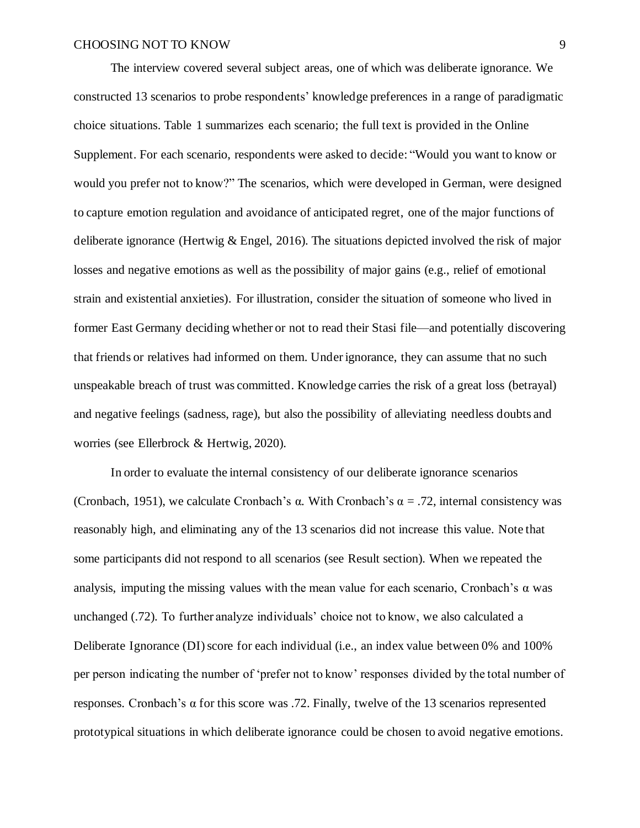The interview covered several subject areas, one of which was deliberate ignorance. We constructed 13 scenarios to probe respondents' knowledge preferences in a range of paradigmatic choice situations. Table 1 summarizes each scenario; the full text is provided in the Online Supplement. For each scenario, respondents were asked to decide: "Would you want to know or would you prefer not to know?" The scenarios, which were developed in German, were designed to capture emotion regulation and avoidance of anticipated regret, one of the major functions of deliberate ignorance (Hertwig & Engel, 2016). The situations depicted involved the risk of major losses and negative emotions as well as the possibility of major gains (e.g., relief of emotional strain and existential anxieties). For illustration, consider the situation of someone who lived in former East Germany deciding whether or not to read their Stasi file—and potentially discovering that friends or relatives had informed on them. Under ignorance, they can assume that no such unspeakable breach of trust was committed. Knowledge carries the risk of a great loss (betrayal) and negative feelings (sadness, rage), but also the possibility of alleviating needless doubts and worries (see Ellerbrock & Hertwig, 2020).

In order to evaluate the internal consistency of our deliberate ignorance scenarios (Cronbach, 1951), we calculate Cronbach's  $\alpha$ . With Cronbach's  $\alpha = .72$ , internal consistency was reasonably high, and eliminating any of the 13 scenarios did not increase this value. Note that some participants did not respond to all scenarios (see Result section). When we repeated the analysis, imputing the missing values with the mean value for each scenario, Cronbach's  $\alpha$  was unchanged (.72). To further analyze individuals' choice not to know, we also calculated a Deliberate Ignorance (DI) score for each individual (i.e., an index value between 0% and 100% per person indicating the number of 'prefer not to know' responses divided by the total number of responses. Cronbach's α for this score was .72. Finally, twelve of the 13 scenarios represented prototypical situations in which deliberate ignorance could be chosen to avoid negative emotions.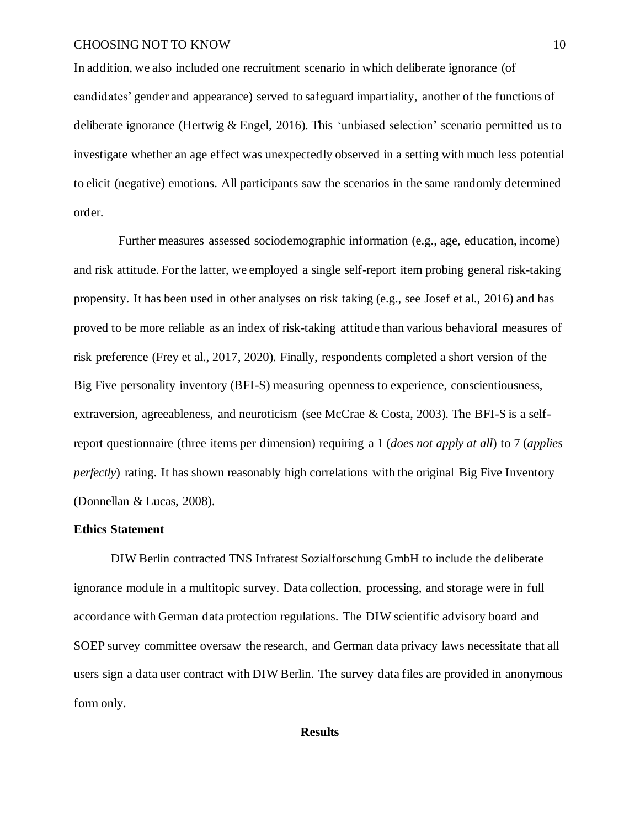In addition, we also included one recruitment scenario in which deliberate ignorance (of candidates' gender and appearance) served to safeguard impartiality, another of the functions of deliberate ignorance (Hertwig & Engel, 2016). This 'unbiased selection' scenario permitted us to investigate whether an age effect was unexpectedly observed in a setting with much less potential to elicit (negative) emotions. All participants saw the scenarios in the same randomly determined order.

Further measures assessed sociodemographic information (e.g., age, education, income) and risk attitude. For the latter, we employed a single self-report item probing general risk-taking propensity. It has been used in other analyses on risk taking (e.g., see Josef et al., 2016) and has proved to be more reliable as an index of risk-taking attitude than various behavioral measures of risk preference (Frey et al., 2017, 2020). Finally, respondents completed a short version of the Big Five personality inventory (BFI-S) measuring openness to experience, conscientiousness, extraversion, agreeableness, and neuroticism (see McCrae & Costa, 2003). The BFI-S is a selfreport questionnaire (three items per dimension) requiring a 1 (*does not apply at all*) to 7 (*applies perfectly*) rating. It has shown reasonably high correlations with the original Big Five Inventory (Donnellan & Lucas, 2008).

### **Ethics Statement**

DIW Berlin contracted TNS Infratest Sozialforschung GmbH to include the deliberate ignorance module in a multitopic survey. Data collection, processing, and storage were in full accordance with German data protection regulations. The DIW scientific advisory board and SOEP survey committee oversaw the research, and German data privacy laws necessitate that all users sign a data user contract with DIW Berlin. The survey data files are provided in anonymous form only.

### **Results**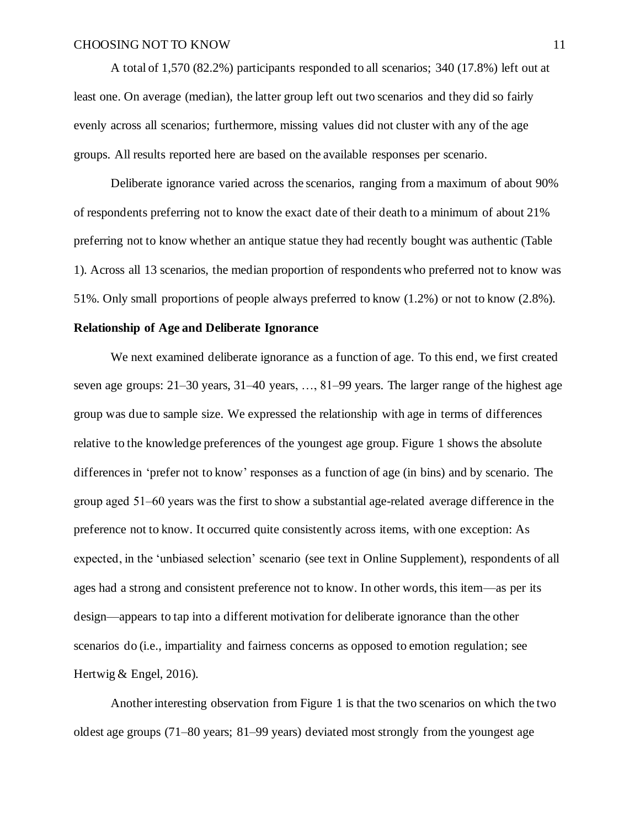A total of 1,570 (82.2%) participants responded to all scenarios; 340 (17.8%) left out at least one. On average (median), the latter group left out two scenarios and they did so fairly evenly across all scenarios; furthermore, missing values did not cluster with any of the age groups. All results reported here are based on the available responses per scenario.

Deliberate ignorance varied across the scenarios, ranging from a maximum of about 90% of respondents preferring not to know the exact date of their death to a minimum of about 21% preferring not to know whether an antique statue they had recently bought was authentic (Table 1). Across all 13 scenarios, the median proportion of respondents who preferred not to know was 51%. Only small proportions of people always preferred to know (1.2%) or not to know (2.8%).

### **Relationship of Age and Deliberate Ignorance**

We next examined deliberate ignorance as a function of age. To this end, we first created seven age groups: 21–30 years, 31–40 years, …, 81–99 years. The larger range of the highest age group was due to sample size. We expressed the relationship with age in terms of differences relative to the knowledge preferences of the youngest age group. Figure 1 shows the absolute differencesin 'prefer not to know' responses as a function of age (in bins) and by scenario. The group aged 51‒60 years was the first to show a substantial age-related average difference in the preference not to know. It occurred quite consistently across items, with one exception: As expected, in the 'unbiased selection' scenario (see text in Online Supplement), respondents of all ages had a strong and consistent preference not to know. In other words, this item—as per its design—appears to tap into a different motivation for deliberate ignorance than the other scenarios do (i.e., impartiality and fairness concerns as opposed to emotion regulation; see Hertwig & Engel, 2016).

Another interesting observation from Figure 1 is that the two scenarios on which the two oldest age groups (71–80 years; 81–99 years) deviated most strongly from the youngest age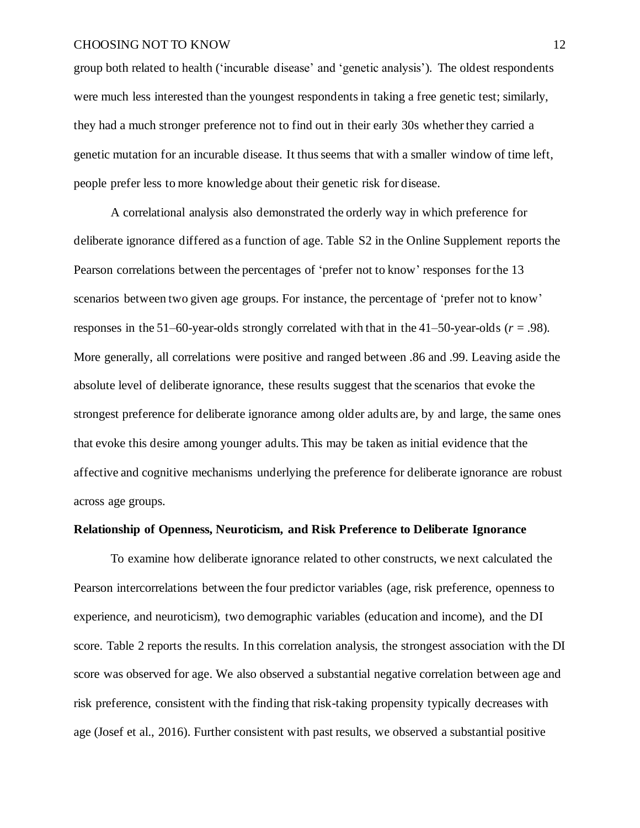group both related to health ('incurable disease' and 'genetic analysis'). The oldest respondents were much less interested than the youngest respondents in taking a free genetic test; similarly, they had a much stronger preference not to find out in their early 30s whether they carried a genetic mutation for an incurable disease. It thus seems that with a smaller window of time left, people prefer less to more knowledge about their genetic risk for disease.

A correlational analysis also demonstrated the orderly way in which preference for deliberate ignorance differed as a function of age. Table S2 in the Online Supplement reports the Pearson correlations between the percentages of 'prefer not to know' responses for the 13 scenarios between two given age groups. For instance, the percentage of 'prefer not to know' responses in the 51–60-year-olds strongly correlated with that in the 41–50-year-olds  $(r = .98)$ . More generally, all correlations were positive and ranged between .86 and .99. Leaving aside the absolute level of deliberate ignorance, these results suggest that the scenarios that evoke the strongest preference for deliberate ignorance among older adults are, by and large, the same ones that evoke this desire among younger adults. This may be taken as initial evidence that the affective and cognitive mechanisms underlying the preference for deliberate ignorance are robust across age groups.

### **Relationship of Openness, Neuroticism, and Risk Preference to Deliberate Ignorance**

To examine how deliberate ignorance related to other constructs, we next calculated the Pearson intercorrelations between the four predictor variables (age, risk preference, openness to experience, and neuroticism), two demographic variables (education and income), and the DI score. Table 2 reports the results. In this correlation analysis, the strongest association with the DI score was observed for age. We also observed a substantial negative correlation between age and risk preference, consistent with the finding that risk-taking propensity typically decreases with age (Josef et al., 2016). Further consistent with past results, we observed a substantial positive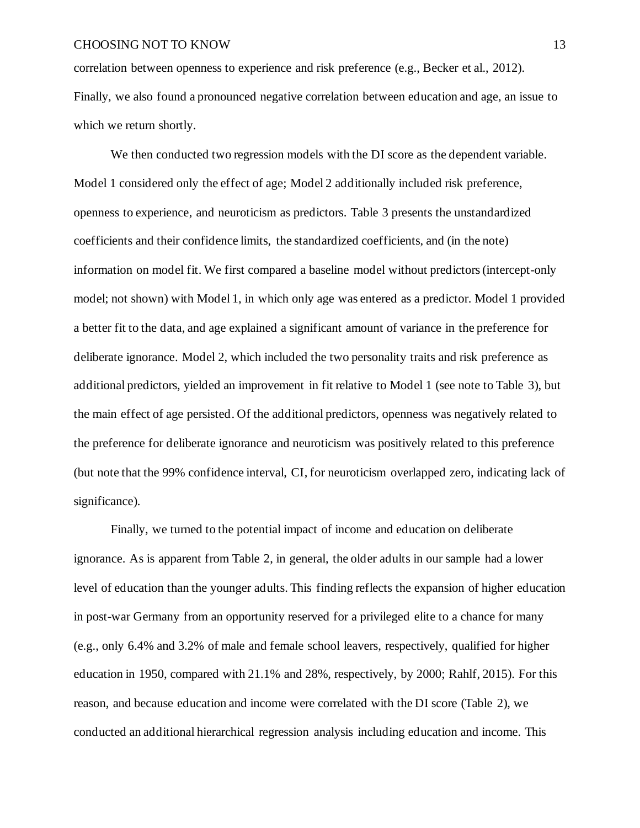correlation between openness to experience and risk preference (e.g., Becker et al., 2012). Finally, we also found a pronounced negative correlation between education and age, an issue to which we return shortly.

We then conducted two regression models with the DI score as the dependent variable. Model 1 considered only the effect of age; Model 2 additionally included risk preference, openness to experience, and neuroticism as predictors. Table 3 presents the unstandardized coefficients and their confidence limits, the standardized coefficients, and (in the note) information on model fit. We first compared a baseline model without predictors (intercept-only model; not shown) with Model 1, in which only age was entered as a predictor. Model 1 provided a better fit to the data, and age explained a significant amount of variance in the preference for deliberate ignorance. Model 2, which included the two personality traits and risk preference as additional predictors, yielded an improvement in fit relative to Model 1 (see note to Table 3), but the main effect of age persisted. Of the additional predictors, openness was negatively related to the preference for deliberate ignorance and neuroticism was positively related to this preference (but note that the 99% confidence interval, CI, for neuroticism overlapped zero, indicating lack of significance).

Finally, we turned to the potential impact of income and education on deliberate ignorance. As is apparent from Table 2, in general, the older adults in our sample had a lower level of education than the younger adults. This finding reflects the expansion of higher education in post-war Germany from an opportunity reserved for a privileged elite to a chance for many (e.g., only 6.4% and 3.2% of male and female school leavers, respectively, qualified for higher education in 1950, compared with 21.1% and 28%, respectively, by 2000; Rahlf, 2015). For this reason, and because education and income were correlated with the DI score (Table 2), we conducted an additional hierarchical regression analysis including education and income. This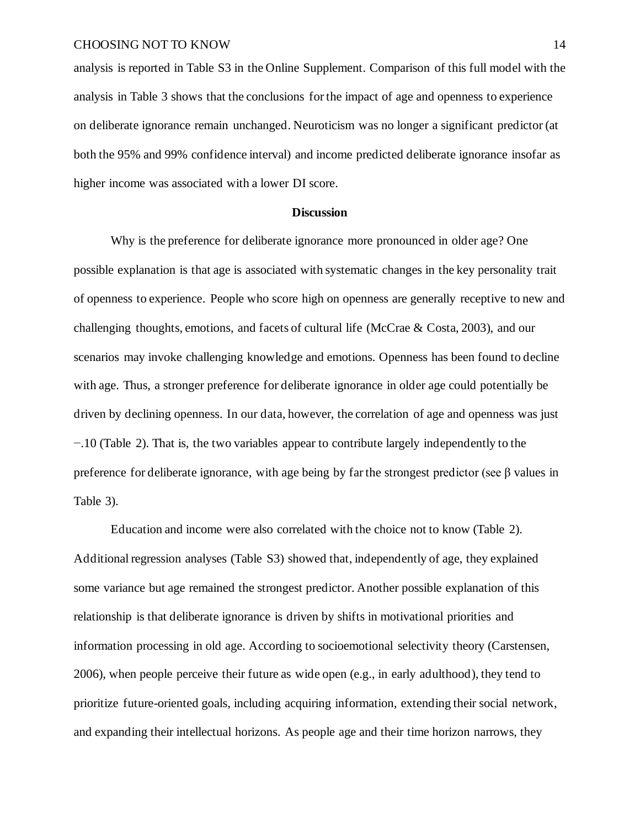analysis is reported in Table S3 in the Online Supplement. Comparison of this full model with the analysis in Table 3 shows that the conclusions for the impact of age and openness to experience on deliberate ignorance remain unchanged. Neuroticism was no longer a significant predictor (at both the 95% and 99% confidence interval) and income predicted deliberate ignorance insofar as higher income was associated with a lower DI score.

#### **Discussion**

Why is the preference for deliberate ignorance more pronounced in older age? One possible explanation is that age is associated with systematic changes in the key personality trait of openness to experience. People who score high on openness are generally receptive to new and challenging thoughts, emotions, and facets of cultural life (McCrae & Costa, 2003), and our scenarios may invoke challenging knowledge and emotions. Openness has been found to decline with age. Thus, a stronger preference for deliberate ignorance in older age could potentially be driven by declining openness. In our data, however, the correlation of age and openness was just −.10 (Table 2). That is, the two variables appear to contribute largely independently to the preference for deliberate ignorance, with age being by far the strongest predictor (see  $\beta$  values in Table 3).

Education and income were also correlated with the choice not to know (Table 2). Additional regression analyses (Table S3) showed that, independently of age, they explained some variance but age remained the strongest predictor. Another possible explanation of this relationship is that deliberate ignorance is driven by shifts in motivational priorities and information processing in old age. According to socioemotional selectivity theory (Carstensen, 2006), when people perceive their future as wide open (e.g., in early adulthood), they tend to prioritize future-oriented goals, including acquiring information, extending their social network, and expanding their intellectual horizons. As people age and their time horizon narrows, they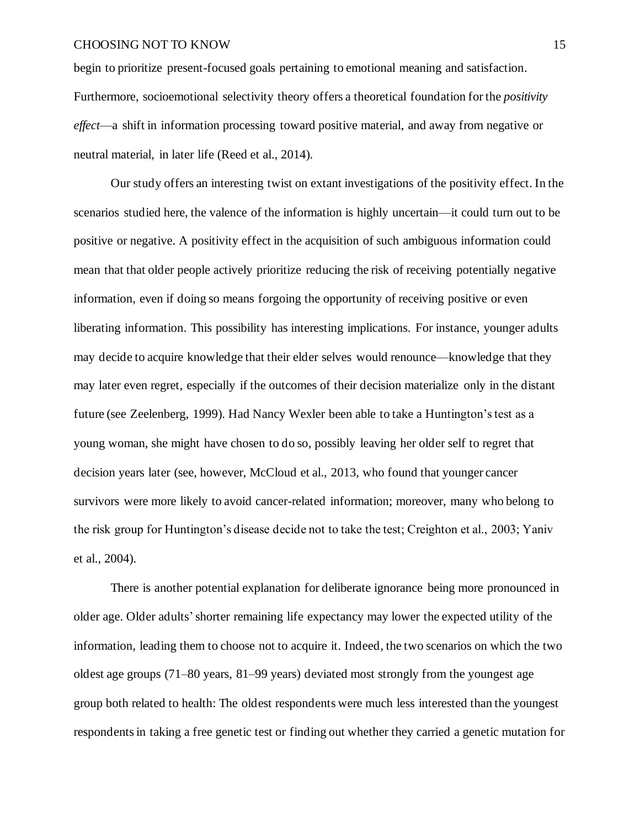begin to prioritize present-focused goals pertaining to emotional meaning and satisfaction. Furthermore, socioemotional selectivity theory offers a theoretical foundation for the *positivity effect*—a shift in information processing toward positive material, and away from negative or neutral material, in later life (Reed et al., 2014).

Our study offers an interesting twist on extant investigations of the positivity effect. In the scenarios studied here, the valence of the information is highly uncertain—it could turn out to be positive or negative. A positivity effect in the acquisition of such ambiguous information could mean that that older people actively prioritize reducing the risk of receiving potentially negative information, even if doing so means forgoing the opportunity of receiving positive or even liberating information. This possibility has interesting implications. For instance, younger adults may decide to acquire knowledge that their elder selves would renounce—knowledge that they may later even regret, especially if the outcomes of their decision materialize only in the distant future (see Zeelenberg, 1999). Had Nancy Wexler been able to take a Huntington's test as a young woman, she might have chosen to do so, possibly leaving her older self to regret that decision years later (see, however, McCloud et al., 2013, who found that younger cancer survivors were more likely to avoid cancer-related information; moreover, many who belong to the risk group for Huntington's disease decide not to take the test; Creighton et al., 2003; Yaniv et al., 2004).

There is another potential explanation for deliberate ignorance being more pronounced in older age. Older adults'shorter remaining life expectancy may lower the expected utility of the information, leading them to choose not to acquire it. Indeed, the two scenarios on which the two oldest age groups (71–80 years, 81–99 years) deviated most strongly from the youngest age group both related to health: The oldest respondents were much less interested than the youngest respondents in taking a free genetic test or finding out whether they carried a genetic mutation for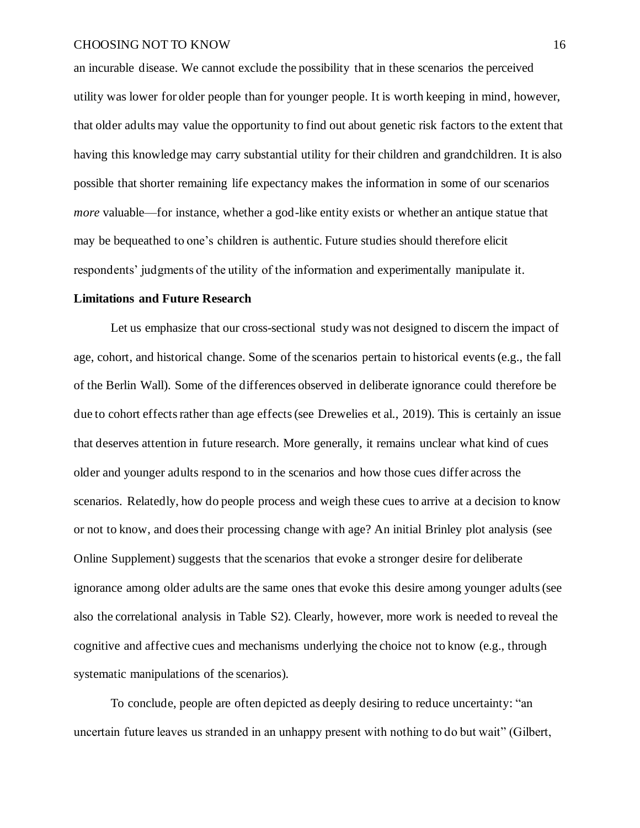an incurable disease. We cannot exclude the possibility that in these scenarios the perceived utility was lower for older people than for younger people. It is worth keeping in mind, however, that older adults may value the opportunity to find out about genetic risk factors to the extent that having this knowledge may carry substantial utility for their children and grandchildren. It is also possible that shorter remaining life expectancy makes the information in some of our scenarios *more* valuable—for instance, whether a god-like entity exists or whether an antique statue that may be bequeathed to one's children is authentic. Future studies should therefore elicit respondents' judgments of the utility of the information and experimentally manipulate it.

### **Limitations and Future Research**

Let us emphasize that our cross-sectional study was not designed to discern the impact of age, cohort, and historical change. Some of the scenarios pertain to historical events (e.g., the fall of the Berlin Wall). Some of the differences observed in deliberate ignorance could therefore be due to cohort effects rather than age effects (see Drewelies et al., 2019). This is certainly an issue that deserves attention in future research. More generally, it remains unclear what kind of cues older and younger adults respond to in the scenarios and how those cues differ across the scenarios. Relatedly, how do people process and weigh these cues to arrive at a decision to know or not to know, and does their processing change with age? An initial Brinley plot analysis (see Online Supplement) suggests that the scenarios that evoke a stronger desire for deliberate ignorance among older adults are the same ones that evoke this desire among younger adults(see also the correlational analysis in Table S2). Clearly, however, more work is needed to reveal the cognitive and affective cues and mechanisms underlying the choice not to know (e.g., through systematic manipulations of the scenarios).

To conclude, people are often depicted as deeply desiring to reduce uncertainty: "an uncertain future leaves us stranded in an unhappy present with nothing to do but wait" (Gilbert,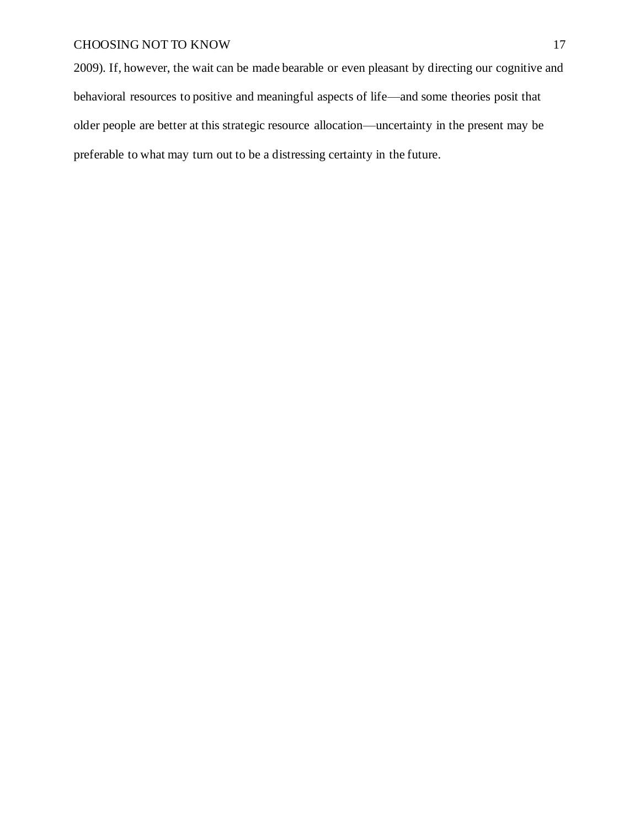2009). If, however, the wait can be made bearable or even pleasant by directing our cognitive and behavioral resources to positive and meaningful aspects of life—and some theories posit that older people are better at this strategic resource allocation—uncertainty in the present may be preferable to what may turn out to be a distressing certainty in the future.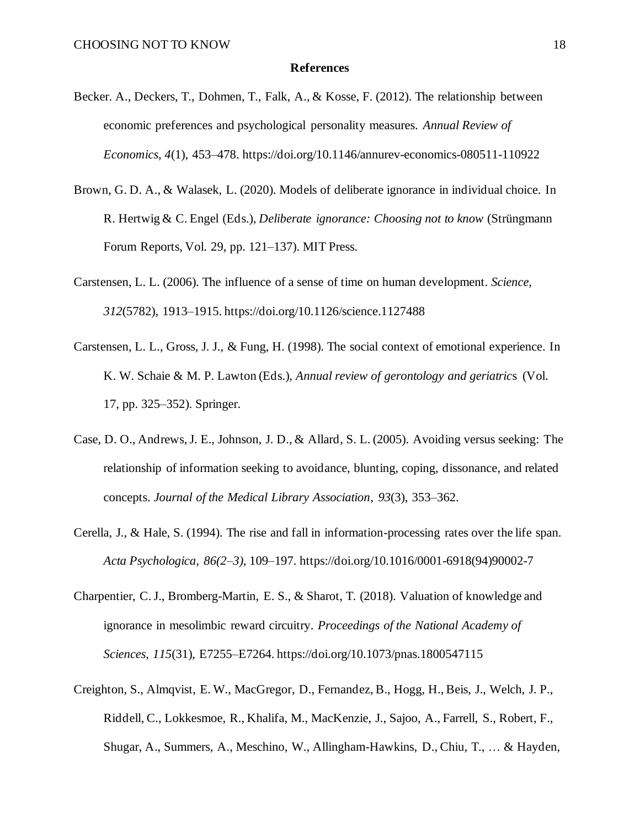#### **References**

- Becker. A., Deckers, T., Dohmen, T., Falk, A., & Kosse, F. (2012). The relationship between economic preferences and psychological personality measures. *Annual Review of Economics, 4*(1), 453–478. https://doi.org/10.1146/annurev-economics-080511-110922
- Brown, G. D. A., & Walasek, L. (2020). Models of deliberate ignorance in individual choice. In R. Hertwig & C. Engel (Eds.), *Deliberate ignorance: Choosing not to know* (Strüngmann Forum Reports, Vol. 29, pp. 121–137). MIT Press.
- Carstensen, L. L. (2006). The influence of a sense of time on human development. *Science, 312*(5782), 1913–1915. https://doi.org/10.1126/science.1127488
- Carstensen, L. L., Gross, J. J., & Fung, H. (1998). The social context of emotional experience. In K. W. Schaie & M. P. Lawton (Eds.), *Annual review of gerontology and geriatric*s (Vol. 17, pp. 325–352). Springer.
- Case, D. O., Andrews, J. E., Johnson, J. D., & Allard, S. L. (2005). Avoiding versus seeking: The relationship of information seeking to avoidance, blunting, coping, dissonance, and related concepts. *Journal of the Medical Library Association*, *93*(3), 353–362.
- Cerella, J., & Hale, S. (1994). The rise and fall in information-processing rates over the life span. *Acta Psychologica, 86(2–3)*, 109–197. https://doi.org/10.1016/0001-6918(94)90002-7
- Charpentier, C. J., Bromberg-Martin, E. S., & Sharot, T. (2018). Valuation of knowledge and ignorance in mesolimbic reward circuitry. *Proceedings of the National Academy of Sciences, 115*(31), E7255–E7264. https://doi.org/10.1073/pnas.1800547115
- Creighton, S., Almqvist, E. W., MacGregor, D., Fernandez, B., Hogg, H., Beis, J., Welch, J. P., Riddell, C., Lokkesmoe, R., Khalifa, M., MacKenzie, J., Sajoo, A., Farrell, S., Robert, F., Shugar, A., Summers, A., Meschino, W., Allingham-Hawkins, D., Chiu, T., … & Hayden,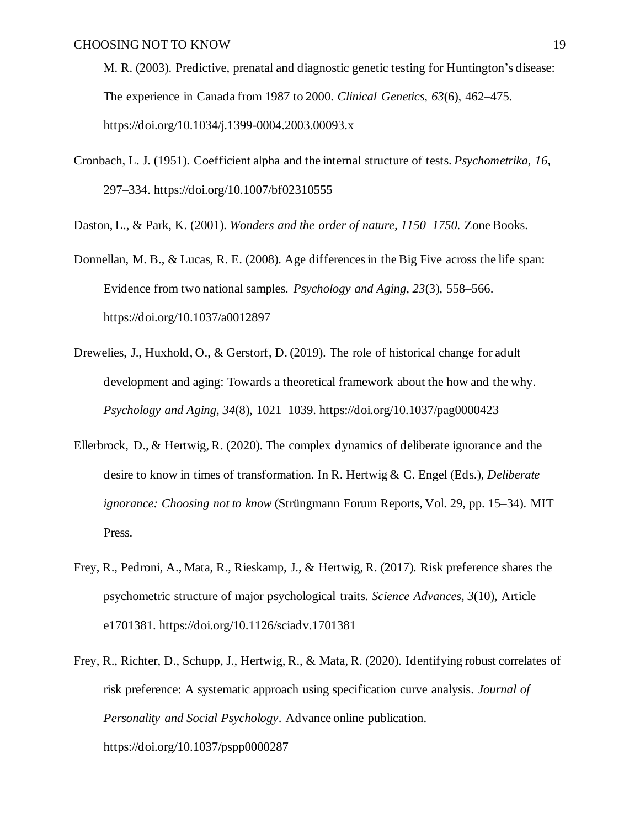M. R. (2003). Predictive, prenatal and diagnostic genetic testing for Huntington's disease: The experience in Canada from 1987 to 2000. *Clinical Genetics, 63*(6), 462–475. https://doi.org/10.1034/j.1399-0004.2003.00093.x

Cronbach, L. J. (1951). Coefficient alpha and the internal structure of tests. *Psychometrika, 16,* 297–334. https://doi.org/10.1007/bf02310555

Daston, L., & Park, K. (2001). *Wonders and the order of nature, 1150–1750.* Zone Books.

- Donnellan, M. B., & Lucas, R. E. (2008). Age differences in the Big Five across the life span: Evidence from two national samples. *Psychology and Aging, 23*(3)*,* 558–566. https://doi.org/10.1037/a0012897
- Drewelies, J., Huxhold, O., & Gerstorf, D. (2019). The role of historical change for adult development and aging: Towards a theoretical framework about the how and the why. *Psychology and Aging, 34*(8), 1021–1039. https://doi.org/10.1037/pag0000423
- Ellerbrock, D., & Hertwig, R. (2020). The complex dynamics of deliberate ignorance and the desire to know in times of transformation. In R. Hertwig & C. Engel (Eds.), *Deliberate ignorance: Choosing not to know* (Strüngmann Forum Reports, Vol. 29, pp. 15–34). MIT Press.
- Frey, R., Pedroni, A., Mata, R., Rieskamp, J., & Hertwig, R. (2017). Risk preference shares the psychometric structure of major psychological traits. *Science Advances, 3*(10), Article e1701381. https://doi.org/10.1126/sciadv.1701381
- Frey, R., Richter, D., Schupp, J., Hertwig, R., & Mata, R. (2020). Identifying robust correlates of risk preference: A systematic approach using specification curve analysis. *Journal of Personality and Social Psychology*. Advance online publication. https://doi.org/10.1037/pspp0000287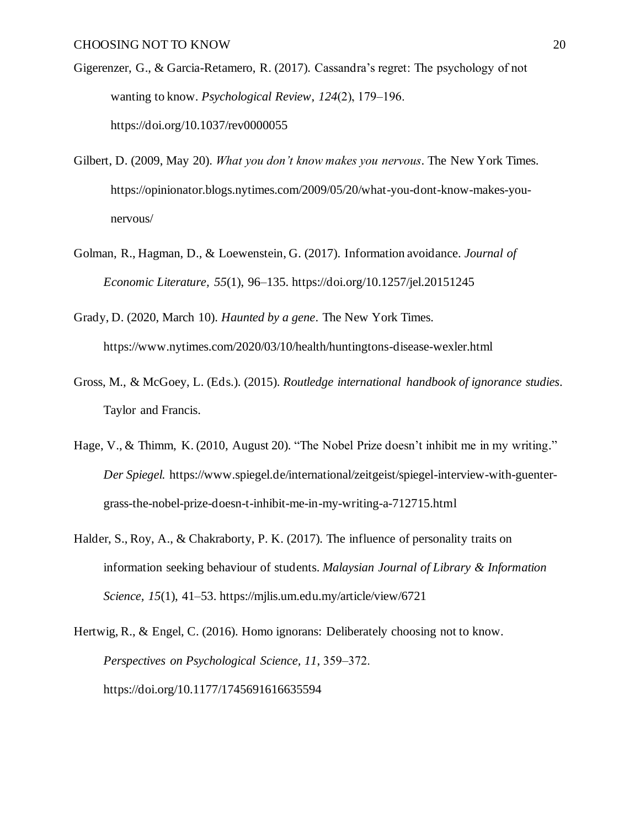- Gigerenzer, G., & Garcia-Retamero, R. (2017). Cassandra's regret: The psychology of not wanting to know. *Psychological Review*,  $124(2)$ , 179–196. https://doi.org/10.1037/rev0000055
- Gilbert, D. (2009, May 20). *What you don't know makes you nervous*. The New York Times. https://opinionator.blogs.nytimes.com/2009/05/20/what-you-dont-know-makes-younervous/
- Golman, R., Hagman, D., & Loewenstein, G. (2017). Information avoidance. *Journal of Economic Literature, 55*(1), 96–135. https://doi.org/10.1257/jel.20151245
- Grady, D. (2020, March 10). *Haunted by a gene*. The New York Times. https://www.nytimes.com/2020/03/10/health/huntingtons-disease-wexler.html
- Gross, M., & McGoey, L. (Eds.). (2015). *Routledge international handbook of ignorance studies*. Taylor and Francis.
- Hage, V., & Thimm, K. (2010, August 20). "The Nobel Prize doesn't inhibit me in my writing." *Der Spiegel.* https://www.spiegel.de/international/zeitgeist/spiegel-interview-with-guentergrass-the-nobel-prize-doesn-t-inhibit-me-in-my-writing-a-712715.html
- Halder, S., Roy, A., & Chakraborty, P. K. (2017). The influence of personality traits on information seeking behaviour of students. *Malaysian Journal of Library & Information Science, 15*(1), 41‒53. https://mjlis.um.edu.my/article/view/6721
- Hertwig, R., & Engel, C. (2016). Homo ignorans: Deliberately choosing not to know. *Perspectives on Psychological Science, 11*, 359‒372. https://doi.org/10.1177/1745691616635594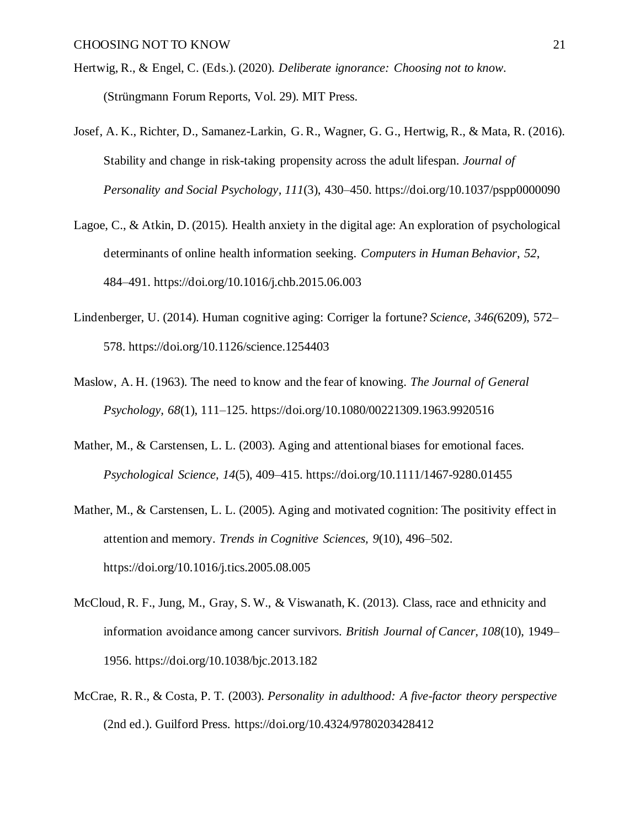- Hertwig, R., & Engel, C. (Eds.). (2020). *Deliberate ignorance: Choosing not to know.* (Strüngmann Forum Reports, Vol. 29). MIT Press.
- Josef, A. K., Richter, D., Samanez-Larkin, G. R., Wagner, G. G., Hertwig, R., & Mata, R. (2016). Stability and change in risk-taking propensity across the adult lifespan. *Journal of Personality and Social Psychology, 111*(3), 430–450. https://doi.org/10.1037/pspp0000090
- Lagoe, C., & Atkin, D. (2015). Health anxiety in the digital age: An exploration of psychological determinants of online health information seeking. *Computers in Human Behavior*, *52*, 484–491. https://doi.org/10.1016/j.chb.2015.06.003
- Lindenberger, U. (2014). Human cognitive aging: Corriger la fortune? *Science*, *346(*6209), 572– 578. https://doi.org/10.1126/science.1254403
- Maslow, A. H. (1963). The need to know and the fear of knowing. *The Journal of General Psychology, 68*(1), 111–125. https://doi.org/10.1080/00221309.1963.9920516
- Mather, M., & Carstensen, L. L. (2003). Aging and attentional biases for emotional faces. *Psychological Science, 14*(5), 409–415. https://doi.org/10.1111/1467-9280.01455
- Mather, M., & Carstensen, L. L. (2005). Aging and motivated cognition: The positivity effect in attention and memory. *Trends in Cognitive Sciences, 9*(10), 496–502. https://doi.org/10.1016/j.tics.2005.08.005
- McCloud, R. F., Jung, M., Gray, S. W., & Viswanath, K. (2013). Class, race and ethnicity and information avoidance among cancer survivors. *British Journal of Cancer, 108*(10), 1949– 1956. https://doi.org/10.1038/bjc.2013.182
- McCrae, R. R., & Costa, P. T. (2003). *Personality in adulthood: A five-factor theory perspective*  (2nd ed.). Guilford Press. https://doi.org/10.4324/9780203428412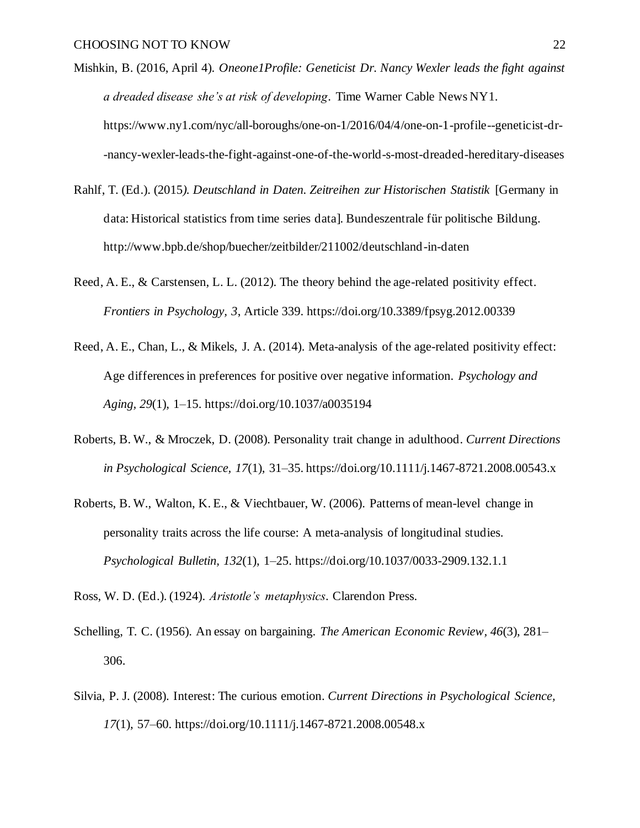- Mishkin, B. (2016, April 4). *Oneone1Profile: Geneticist Dr. Nancy Wexler leads the fight against a dreaded disease she's at risk of developing*. Time Warner Cable News NY1. https://www.ny1.com/nyc/all-boroughs/one-on-1/2016/04/4/one-on-1-profile--geneticist-dr- -nancy-wexler-leads-the-fight-against-one-of-the-world-s-most-dreaded-hereditary-diseases
- Rahlf, T. (Ed.). (2015*). Deutschland in Daten. Zeitreihen zur Historischen Statistik* [Germany in data: Historical statistics from time series data]*.* Bundeszentrale für politische Bildung. http://www.bpb.de/shop/buecher/zeitbilder/211002/deutschland-in-daten
- Reed, A. E., & Carstensen, L. L. (2012). The theory behind the age-related positivity effect. *Frontiers in Psychology, 3*, Article 339. https://doi.org/10.3389/fpsyg.2012.00339
- Reed, A. E., Chan, L., & Mikels, J. A. (2014). Meta-analysis of the age-related positivity effect: Age differences in preferences for positive over negative information. *Psychology and Aging, 29*(1), 1–15. https://doi.org/10.1037/a0035194
- Roberts, B. W., & Mroczek, D. (2008). Personality trait change in adulthood. *Current Directions in Psychological Science, 17*(1), 31–35. https://doi.org/10.1111/j.1467-8721.2008.00543.x
- Roberts, B. W., Walton, K. E., & Viechtbauer, W. (2006). Patterns of mean-level change in personality traits across the life course: A meta-analysis of longitudinal studies. *Psychological Bulletin, 132*(1), 1–25. https://doi.org/10.1037/0033-2909.132.1.1
- Ross, W. D. (Ed.). (1924). *Aristotle's metaphysics*. Clarendon Press.
- Schelling, T. C. (1956). An essay on bargaining. *The American Economic Review, 46*(3), 281– 306.
- Silvia, P. J. (2008). Interest: The curious emotion. *Current Directions in Psychological Science, 17*(1), 57–60. https://doi.org/10.1111/j.1467-8721.2008.00548.x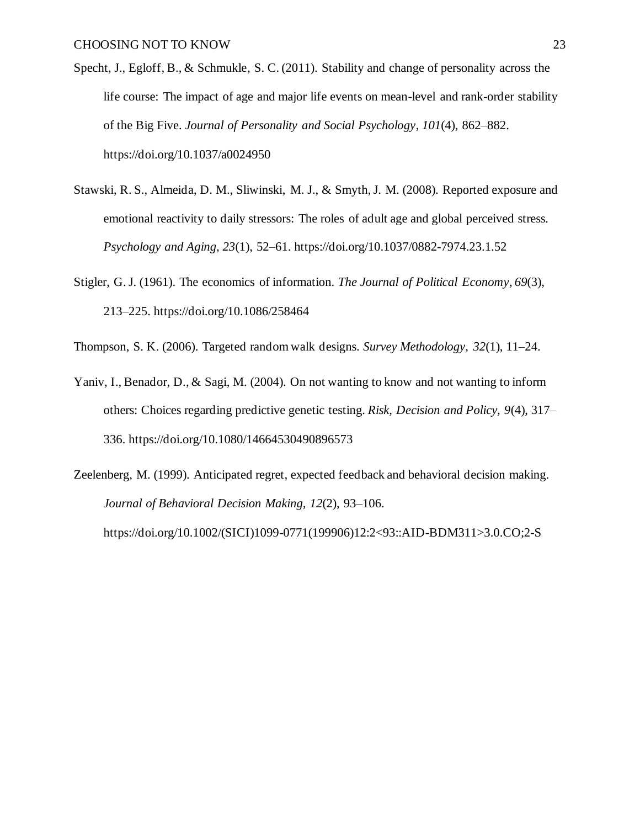- Specht, J., Egloff, B., & Schmukle, S. C. (2011). Stability and change of personality across the life course: The impact of age and major life events on mean-level and rank-order stability of the Big Five. *Journal of Personality and Social Psychology*, *101*(4), 862–882. https://doi.org/10.1037/a0024950
- Stawski, R. S., Almeida, D. M., Sliwinski, M. J., & Smyth, J. M. (2008). Reported exposure and emotional reactivity to daily stressors: The roles of adult age and global perceived stress. *Psychology and Aging, 23*(1), 52–61. https://doi.org/10.1037/0882-7974.23.1.52
- Stigler, G. J. (1961). The economics of information. *The Journal of Political Economy, 69*(3), 213–225. https://doi.org/10.1086/258464
- Thompson, S. K. (2006). Targeted random walk designs. *Survey Methodology, 32*(1), 11–24.
- Yaniv, I., Benador, D., & Sagi, M. (2004). On not wanting to know and not wanting to inform others: Choices regarding predictive genetic testing. *Risk, Decision and Policy, 9*(4), 317– 336. https://doi.org/10.1080/14664530490896573
- Zeelenberg, M. (1999). Anticipated regret, expected feedback and behavioral decision making. *Journal of Behavioral Decision Making, 12*(2), 93–106. https://doi.org/10.1002/(SICI)1099-0771(199906)12:2<93::AID-BDM311>3.0.CO;2-S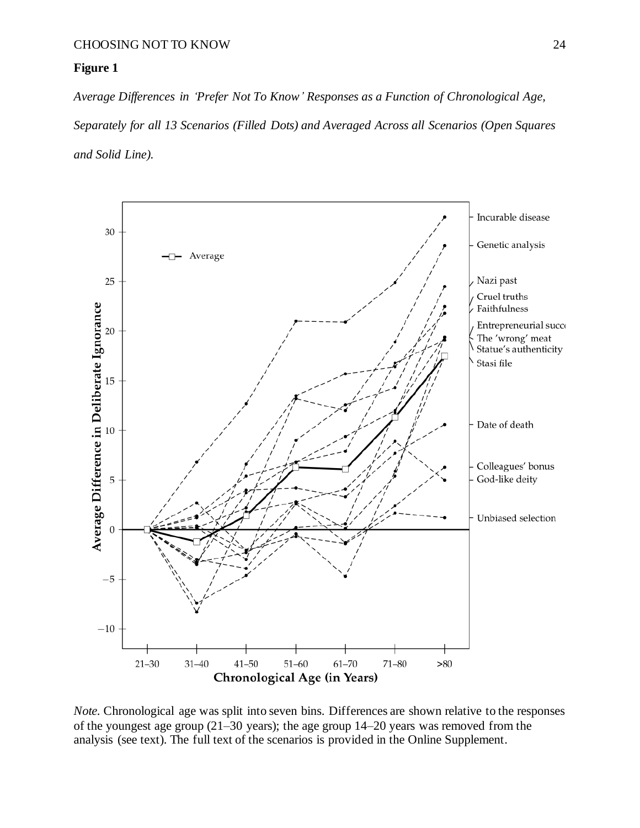### **Figure 1**

*Average Differences in 'Prefer Not To Know' Responses as a Function of Chronological Age, Separately for all 13 Scenarios (Filled Dots) and Averaged Across all Scenarios (Open Squares and Solid Line).* 



*Note.* Chronological age was split into seven bins. Differences are shown relative to the responses of the youngest age group (21–30 years); the age group 14–20 years was removed from the analysis (see text). The full text of the scenarios is provided in the Online Supplement.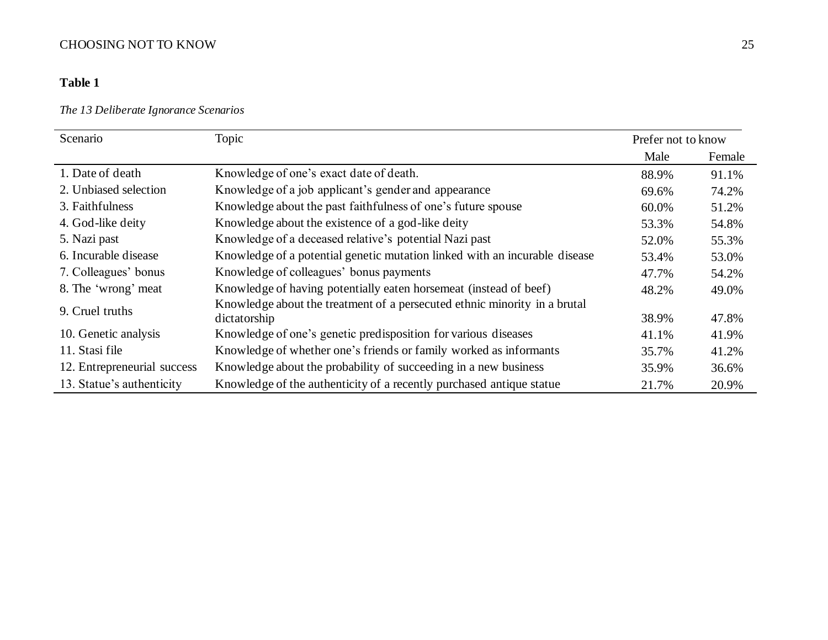### **Table 1**

### *The 13 Deliberate Ignorance Scenarios*

| Scenario                    | Topic                                                                      | Prefer not to know |        |  |
|-----------------------------|----------------------------------------------------------------------------|--------------------|--------|--|
|                             |                                                                            | Male               | Female |  |
| 1. Date of death            | Knowledge of one's exact date of death.                                    | 88.9%              | 91.1%  |  |
| 2. Unbiased selection       | Knowledge of a job applicant's gender and appearance                       | 69.6%              | 74.2%  |  |
| 3. Faithfulness             | Knowledge about the past faithfulness of one's future spouse               | 60.0%              | 51.2%  |  |
| 4. God-like deity           | Knowledge about the existence of a god-like deity                          | 53.3%              | 54.8%  |  |
| 5. Nazi past                | Knowledge of a deceased relative's potential Nazi past                     | 52.0%              | 55.3%  |  |
| 6. Incurable disease        | Knowledge of a potential genetic mutation linked with an incurable disease | 53.4%              | 53.0%  |  |
| 7. Colleagues' bonus        | Knowledge of colleagues' bonus payments                                    | 47.7%              | 54.2%  |  |
| 8. The 'wrong' meat         | Knowledge of having potentially eaten horsemeat (instead of beef)          | 48.2%              | 49.0%  |  |
| 9. Cruel truths             | Knowledge about the treatment of a persecuted ethnic minority in a brutal  |                    |        |  |
|                             | dictatorship                                                               | 38.9%              | 47.8%  |  |
| 10. Genetic analysis        | Knowledge of one's genetic predisposition for various diseases             | 41.1%              | 41.9%  |  |
| 11. Stasi file              | Knowledge of whether one's friends or family worked as informants          | 35.7%              | 41.2%  |  |
| 12. Entrepreneurial success | Knowledge about the probability of succeeding in a new business            | 35.9%              | 36.6%  |  |
| 13. Statue's authenticity   | Knowledge of the authenticity of a recently purchased antique statue       | 21.7%              | 20.9%  |  |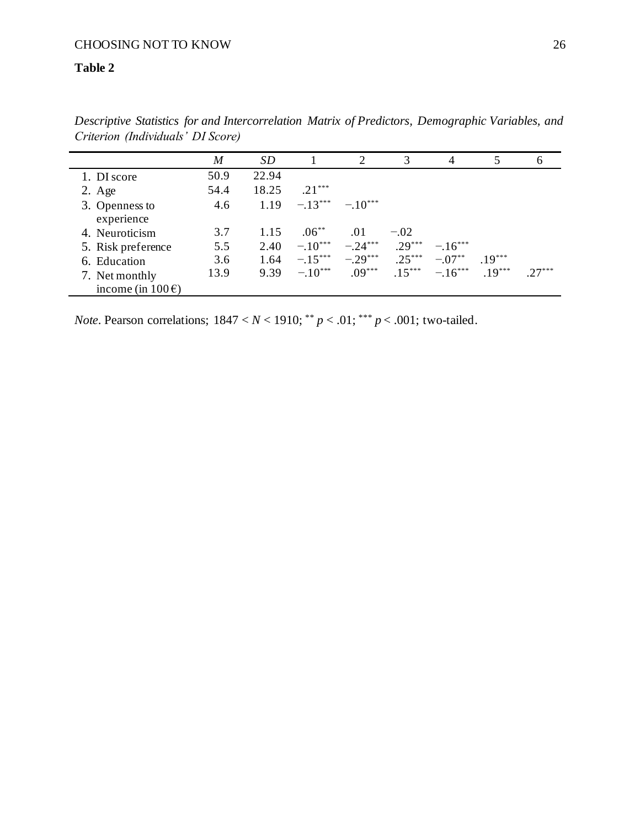### **Table 2**

|                                   | M    | SD    |           | 2           | 3        | $\overline{4}$  | 5        | h |
|-----------------------------------|------|-------|-----------|-------------|----------|-----------------|----------|---|
| 1. DI score                       | 50.9 | 22.94 |           |             |          |                 |          |   |
| $2. \text{Age}$                   | 54.4 | 18.25 | $.21***$  |             |          |                 |          |   |
| 3. Openness to<br>experience      | 4.6  | 1.19  | $-.13***$ | $-10^{***}$ |          |                 |          |   |
| 4. Neuroticism                    | 3.7  | 1.15  | $.06***$  | .01         | $-.02$   |                 |          |   |
| 5. Risk preference                | 5.5  | 2.40  | $-10***$  | $-.24***$   | $29***$  | $-16***$        |          |   |
| 6. Education                      | 3.6  | 1.64  | $-.15***$ | $-.29***$   | $.25***$ | $-.07***$       | $.19***$ |   |
| 7. Net monthly                    | 13.9 | 9.39  | $-.10***$ | $.09***$    |          | $15*** - 16***$ | $19***$  |   |
| income (in $100 \hat{\epsilon}$ ) |      |       |           |             |          |                 |          |   |

*Descriptive Statistics for and Intercorrelation Matrix of Predictors, Demographic Variables, and Criterion (Individuals' DI Score)* 

*Note*. Pearson correlations;  $1847 < N < 1910$ ; \*\*  $p < .01$ ; \*\*\*  $p < .001$ ; two-tailed.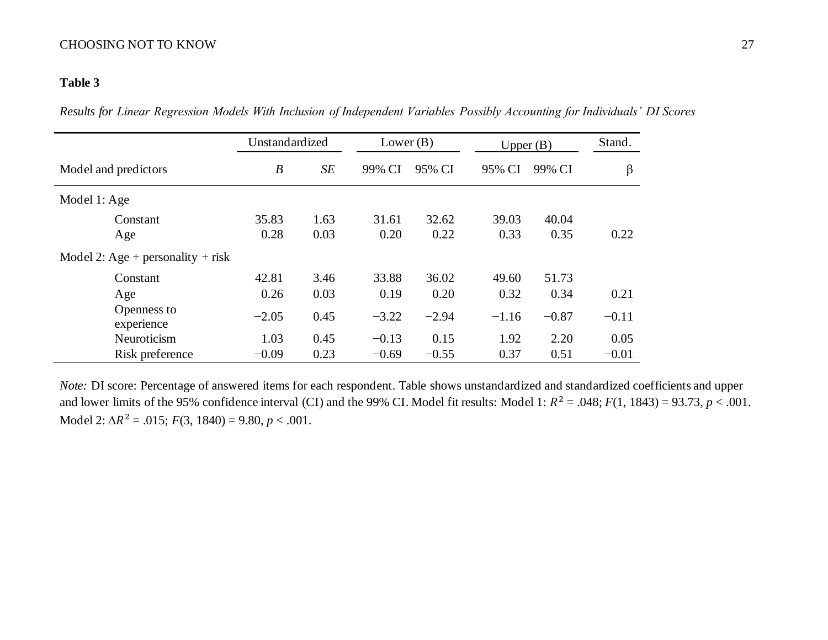### **Table 3**

*Results for Linear Regression Models With Inclusion of Independent Variables Possibly Accounting for Individuals' DI Scores*

|                                   | Unstandardized   |      | Lower $(B)$ |         | Upper $(B)$ |         | Stand.  |
|-----------------------------------|------------------|------|-------------|---------|-------------|---------|---------|
| Model and predictors              | $\boldsymbol{B}$ | SE   | 99% CI      | 95% CI  | 95% CI      | 99% CI  | β       |
| Model 1: Age                      |                  |      |             |         |             |         |         |
| Constant                          | 35.83            | 1.63 | 31.61       | 32.62   | 39.03       | 40.04   |         |
| Age                               | 0.28             | 0.03 | 0.20        | 0.22    | 0.33        | 0.35    | 0.22    |
| Model 2: Age + personality + risk |                  |      |             |         |             |         |         |
| Constant                          | 42.81            | 3.46 | 33.88       | 36.02   | 49.60       | 51.73   |         |
| Age                               | 0.26             | 0.03 | 0.19        | 0.20    | 0.32        | 0.34    | 0.21    |
| Openness to<br>experience         | $-2.05$          | 0.45 | $-3.22$     | $-2.94$ | $-1.16$     | $-0.87$ | $-0.11$ |
| Neuroticism                       | 1.03             | 0.45 | $-0.13$     | 0.15    | 1.92        | 2.20    | 0.05    |
| Risk preference                   | $-0.09$          | 0.23 | $-0.69$     | $-0.55$ | 0.37        | 0.51    | $-0.01$ |

*Note:* DI score: Percentage of answered items for each respondent. Table shows unstandardized and standardized coefficients and upper and lower limits of the 95% confidence interval (CI) and the 99% CI. Model fit results: Model 1:  $R^2 = .048$ ;  $F(1, 1843) = 93.73$ ,  $p < .001$ . Model 2:  $\Delta R^2 = .015$ ;  $F(3, 1840) = 9.80, p < .001$ .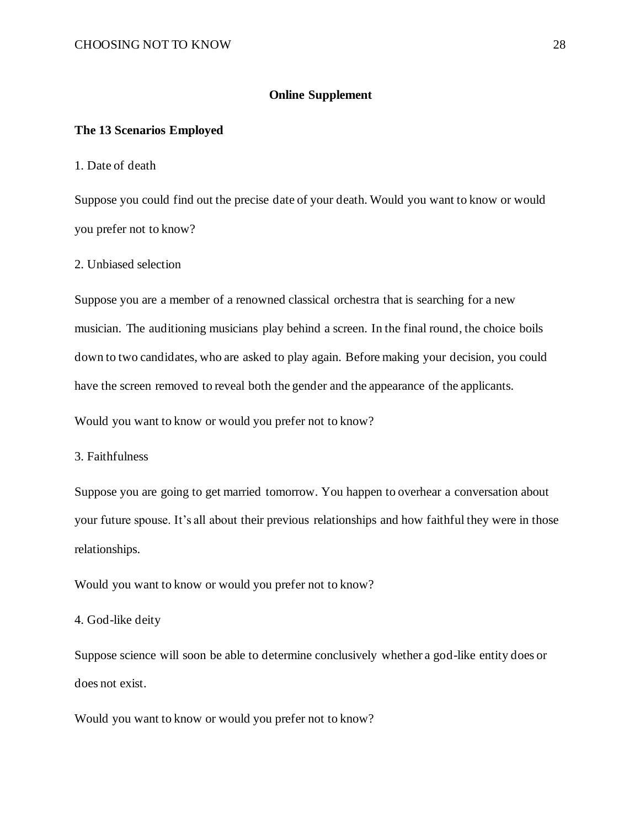### **Online Supplement**

### **The 13 Scenarios Employed**

1. Date of death

Suppose you could find out the precise date of your death. Would you want to know or would you prefer not to know?

2. Unbiased selection

Suppose you are a member of a renowned classical orchestra that is searching for a new musician. The auditioning musicians play behind a screen. In the final round, the choice boils down to two candidates, who are asked to play again. Before making your decision, you could have the screen removed to reveal both the gender and the appearance of the applicants.

Would you want to know or would you prefer not to know?

3. Faithfulness

Suppose you are going to get married tomorrow. You happen to overhear a conversation about your future spouse. It's all about their previous relationships and how faithful they were in those relationships.

Would you want to know or would you prefer not to know?

4. God-like deity

Suppose science will soon be able to determine conclusively whether a god-like entity does or does not exist.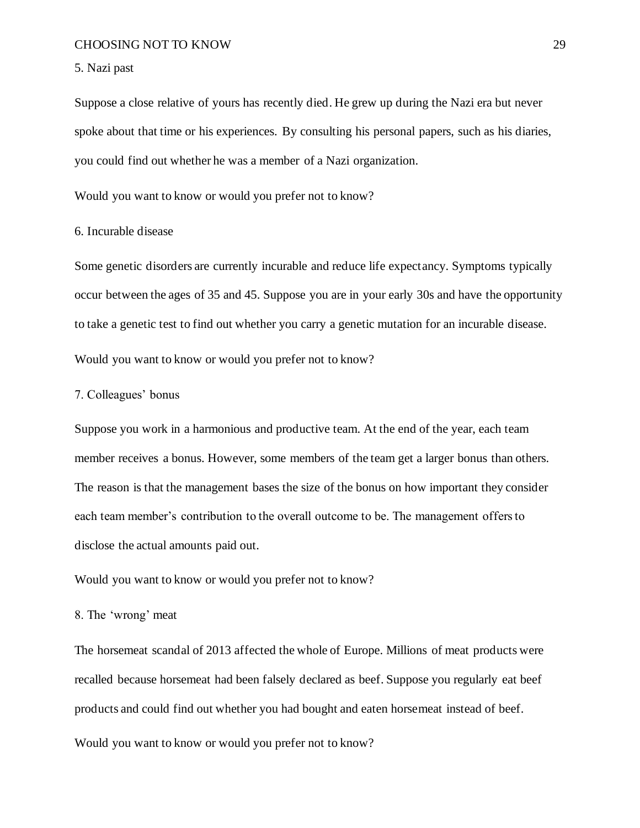#### 5. Nazi past

Suppose a close relative of yours has recently died. He grew up during the Nazi era but never spoke about that time or his experiences. By consulting his personal papers, such as his diaries, you could find out whether he was a member of a Nazi organization.

Would you want to know or would you prefer not to know?

### 6. Incurable disease

Some genetic disorders are currently incurable and reduce life expectancy. Symptoms typically occur between the ages of 35 and 45. Suppose you are in your early 30s and have the opportunity to take a genetic test to find out whether you carry a genetic mutation for an incurable disease.

Would you want to know or would you prefer not to know?

### 7. Colleagues' bonus

Suppose you work in a harmonious and productive team. At the end of the year, each team member receives a bonus. However, some members of the team get a larger bonus than others. The reason is that the management bases the size of the bonus on how important they consider each team member's contribution to the overall outcome to be. The management offers to disclose the actual amounts paid out.

Would you want to know or would you prefer not to know?

### 8. The 'wrong' meat

The horsemeat scandal of 2013 affected the whole of Europe. Millions of meat products were recalled because horsemeat had been falsely declared as beef. Suppose you regularly eat beef products and could find out whether you had bought and eaten horsemeat instead of beef.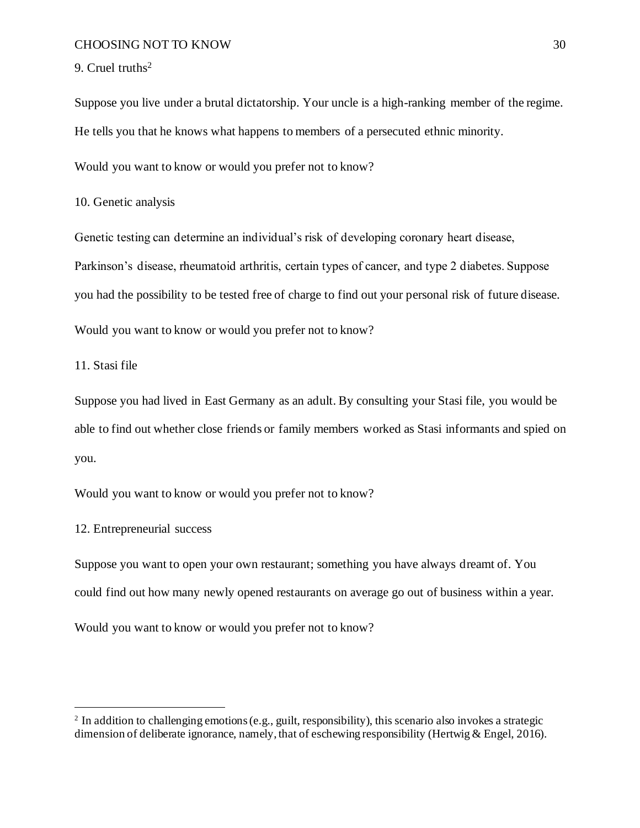### 9. Cruel truths<sup>2</sup>

Suppose you live under a brutal dictatorship. Your uncle is a high-ranking member of the regime. He tells you that he knows what happens to members of a persecuted ethnic minority.

Would you want to know or would you prefer not to know?

10. Genetic analysis

Genetic testing can determine an individual's risk of developing coronary heart disease, Parkinson's disease, rheumatoid arthritis, certain types of cancer, and type 2 diabetes. Suppose you had the possibility to be tested free of charge to find out your personal risk of future disease.

Would you want to know or would you prefer not to know?

11. Stasi file

Suppose you had lived in East Germany as an adult. By consulting your Stasi file, you would be able to find out whether close friends or family members worked as Stasi informants and spied on you.

Would you want to know or would you prefer not to know?

12. Entrepreneurial success

Suppose you want to open your own restaurant; something you have always dreamt of. You could find out how many newly opened restaurants on average go out of business within a year.

<sup>&</sup>lt;sup>2</sup> In addition to challenging emotions (e.g., guilt, responsibility), this scenario also invokes a strategic dimension of deliberate ignorance, namely, that of eschewing responsibility (Hertwig & Engel, 2016).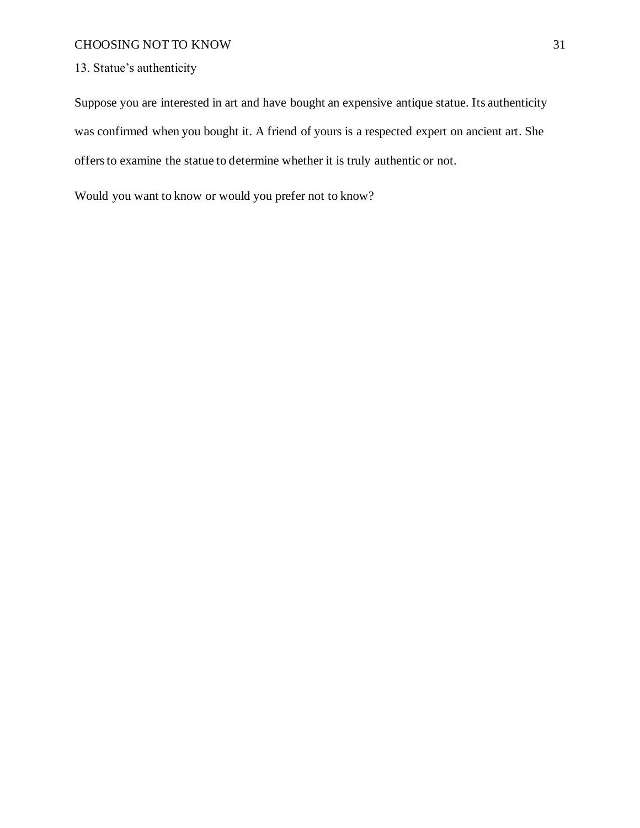13. Statue's authenticity

Suppose you are interested in art and have bought an expensive antique statue. Its authenticity was confirmed when you bought it. A friend of yours is a respected expert on ancient art. She offers to examine the statue to determine whether it is truly authentic or not.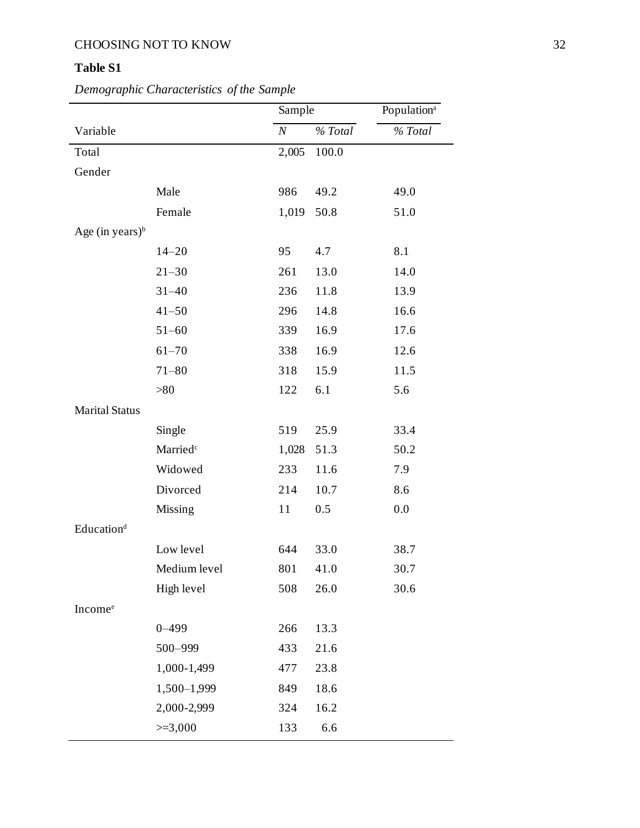### **Table S1**

### *Demographic Characteristics of the Sample*

|                        |                      | Sample   |         | Population <sup>a</sup> |
|------------------------|----------------------|----------|---------|-------------------------|
| Variable               |                      | $\cal N$ | % Total | % Total                 |
| Total                  |                      | 2,005    | 100.0   |                         |
| Gender                 |                      |          |         |                         |
|                        | Male                 | 986      | 49.2    | 49.0                    |
|                        | Female               | 1,019    | 50.8    | 51.0                    |
| Age (in years) $\rm^b$ |                      |          |         |                         |
|                        | $14 - 20$            | 95       | 4.7     | 8.1                     |
|                        | $21 - 30$            | 261      | 13.0    | 14.0                    |
|                        | $31 - 40$            | 236      | 11.8    | 13.9                    |
|                        | $41 - 50$            | 296      | 14.8    | 16.6                    |
|                        | $51 - 60$            | 339      | 16.9    | 17.6                    |
|                        | $61 - 70$            | 338      | 16.9    | 12.6                    |
|                        | $71 - 80$            | 318      | 15.9    | 11.5                    |
|                        | >80                  | 122      | 6.1     | 5.6                     |
| <b>Marital Status</b>  |                      |          |         |                         |
|                        | Single               | 519      | 25.9    | 33.4                    |
|                        | Married <sup>c</sup> | 1,028    | 51.3    | 50.2                    |
|                        | Widowed              | 233      | 11.6    | 7.9                     |
|                        | Divorced             | 214      | 10.7    | 8.6                     |
|                        | Missing              | 11       | 0.5     | 0.0                     |
| Education <sup>d</sup> |                      |          |         |                         |
|                        | Low level            | 644      | 33.0    | 38.7                    |
|                        | Medium level         | 801      | 41.0    | 30.7                    |
|                        | High level           | 508      | 26.0    | 30.6                    |
| Income <sup>e</sup>    |                      |          |         |                         |
|                        | $0 - 499$            | 266      | 13.3    |                         |
|                        | 500-999              | 433      | 21.6    |                         |
|                        | 1,000-1,499          | 477      | 23.8    |                         |
|                        | 1,500-1,999          | 849      | 18.6    |                         |
|                        | 2,000-2,999          | 324      | 16.2    |                         |
|                        | $>=3,000$            | 133      | 6.6     |                         |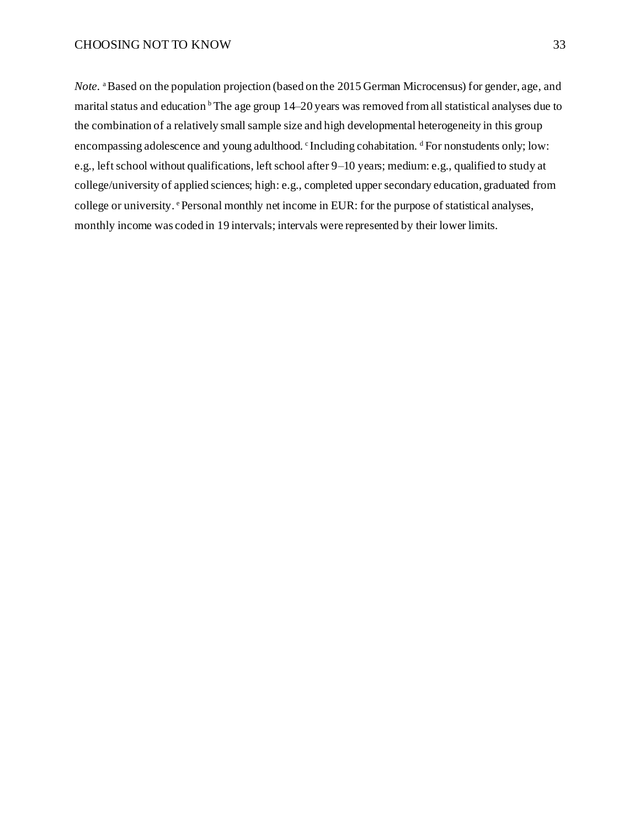*Note.* <sup>a</sup>Based on the population projection (based on the 2015 German Microcensus) for gender, age, and marital status and education <sup>b</sup> The age group 14–20 years was removed from all statistical analyses due to the combination of a relatively small sample size and high developmental heterogeneity in this group encompassing adolescence and young adulthood. CIncluding cohabitation. <sup>d</sup> For nonstudents only; low: e.g., left school without qualifications, left school after 9–10 years; medium: e.g., qualified to study at college/university of applied sciences; high: e.g., completed upper secondary education, graduated from college or university. *Personal monthly net income in EUR: for the purpose of statistical analyses,* monthly income was coded in 19 intervals; intervals were represented by their lower limits.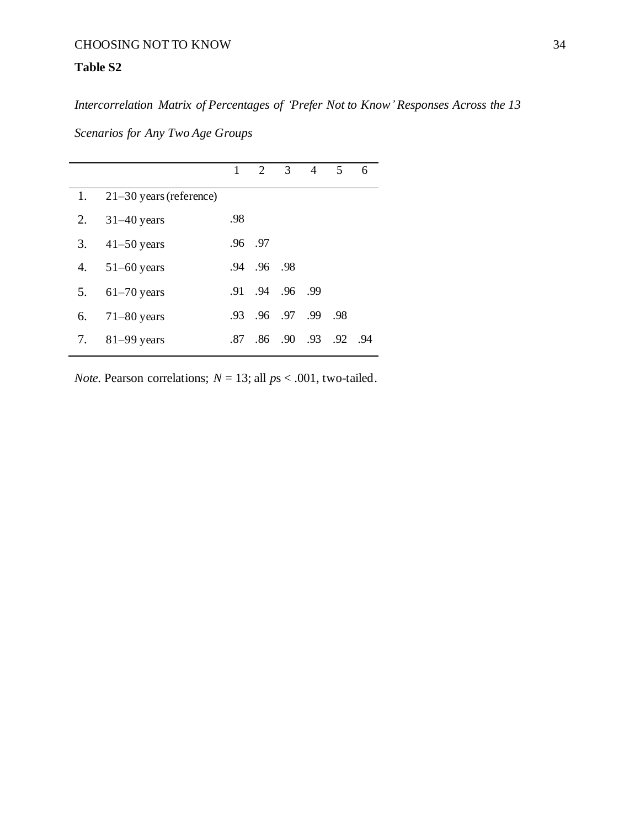### **Table S2**

*Intercorrelation Matrix of Percentages of 'Prefer Not to Know' Responses Across the 13* 

*Scenarios for Any Two Age Groups*

|    |                              |     |             | $1 \t2 \t3 \t4$     | 5 <sup>5</sup> | 6 |
|----|------------------------------|-----|-------------|---------------------|----------------|---|
|    | 1. $21-30$ years (reference) |     |             |                     |                |   |
|    | 2. $31-40$ years             | .98 |             |                     |                |   |
|    | 3. $41 - 50$ years           |     | .96 .97     |                     |                |   |
|    | 4. $51-60$ years             |     | .94 .96 .98 |                     |                |   |
|    | 5. $61-70$ years             |     |             | .91 .94 .96 .99     |                |   |
| 6. | $71-80$ years                |     |             | .93 .96 .97 .99 .98 |                |   |
|    | 7. 81-99 years               | .87 |             | .86 .90 .93 .92 .94 |                |   |

*Note.* Pearson correlations;  $N = 13$ ; all  $ps < .001$ , two-tailed.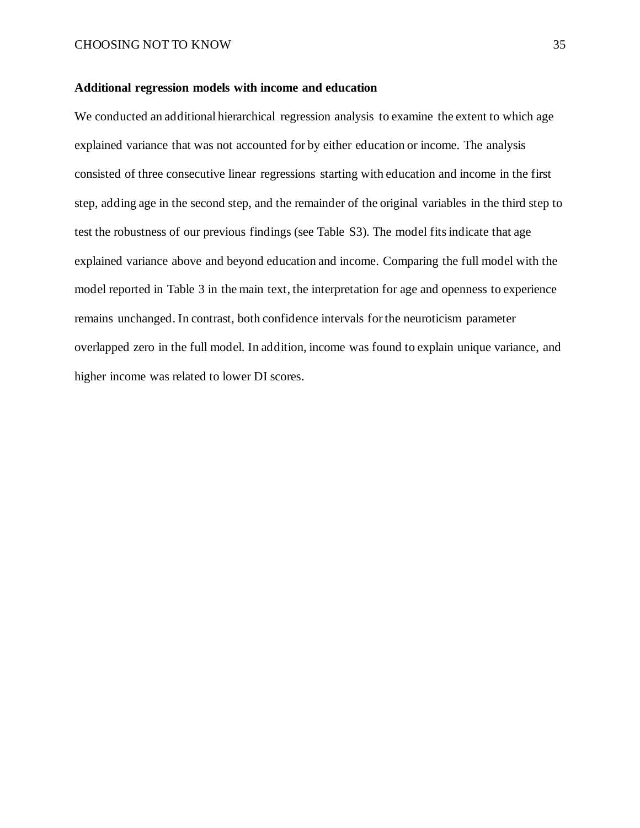### **Additional regression models with income and education**

We conducted an additional hierarchical regression analysis to examine the extent to which age explained variance that was not accounted for by either education or income. The analysis consisted of three consecutive linear regressions starting with education and income in the first step, adding age in the second step, and the remainder of the original variables in the third step to test the robustness of our previous findings (see Table S3). The model fits indicate that age explained variance above and beyond education and income. Comparing the full model with the model reported in Table 3 in the main text, the interpretation for age and openness to experience remains unchanged. In contrast, both confidence intervals for the neuroticism parameter overlapped zero in the full model. In addition, income was found to explain unique variance, and higher income was related to lower DI scores.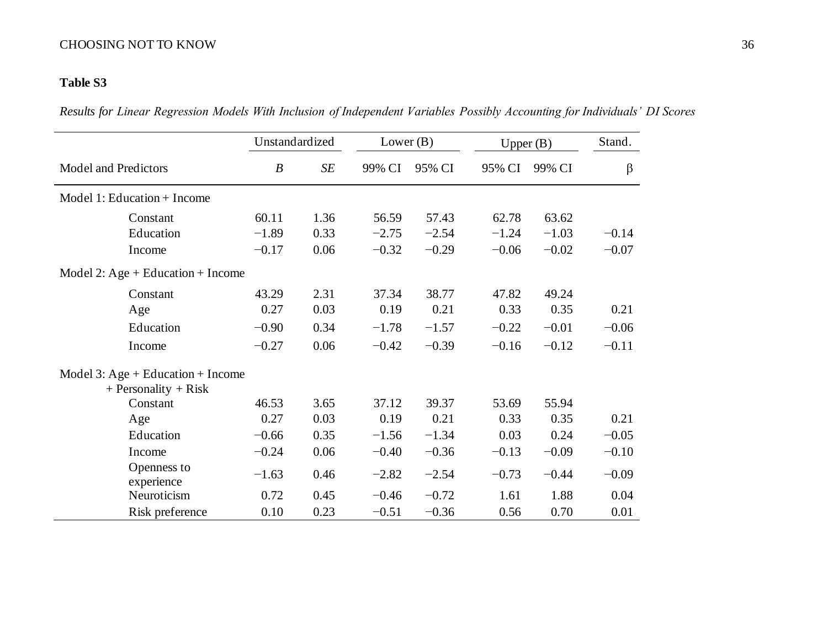### **Table S3**

*Results for Linear Regression Models With Inclusion of Independent Variables Possibly Accounting for Individuals' DI Scores*

|                                   |                  | Unstandardized | Lower $(B)$ |         | Upper $(B)$ |         | Stand.  |
|-----------------------------------|------------------|----------------|-------------|---------|-------------|---------|---------|
| <b>Model and Predictors</b>       | $\boldsymbol{B}$ | SE             | 99% CI      | 95% CI  | 95% CI      | 99% CI  | β       |
| Model 1: Education + Income       |                  |                |             |         |             |         |         |
| Constant                          | 60.11            | 1.36           | 56.59       | 57.43   | 62.78       | 63.62   |         |
| Education                         | $-1.89$          | 0.33           | $-2.75$     | $-2.54$ | $-1.24$     | $-1.03$ | $-0.14$ |
| Income                            | $-0.17$          | 0.06           | $-0.32$     | $-0.29$ | $-0.06$     | $-0.02$ | $-0.07$ |
| Model 2: Age + Education + Income |                  |                |             |         |             |         |         |
| Constant                          | 43.29            | 2.31           | 37.34       | 38.77   | 47.82       | 49.24   |         |
| Age                               | 0.27             | 0.03           | 0.19        | 0.21    | 0.33        | 0.35    | 0.21    |
| Education                         | $-0.90$          | 0.34           | $-1.78$     | $-1.57$ | $-0.22$     | $-0.01$ | $-0.06$ |
| Income                            | $-0.27$          | 0.06           | $-0.42$     | $-0.39$ | $-0.16$     | $-0.12$ | $-0.11$ |
| Model 3: Age + Education + Income |                  |                |             |         |             |         |         |
| $+$ Personality $+$ Risk          |                  |                |             |         |             |         |         |
| Constant                          | 46.53            | 3.65           | 37.12       | 39.37   | 53.69       | 55.94   |         |
| Age                               | 0.27             | 0.03           | 0.19        | 0.21    | 0.33        | 0.35    | 0.21    |
| Education                         | $-0.66$          | 0.35           | $-1.56$     | $-1.34$ | 0.03        | 0.24    | $-0.05$ |
| Income                            | $-0.24$          | 0.06           | $-0.40$     | $-0.36$ | $-0.13$     | $-0.09$ | $-0.10$ |
| Openness to<br>experience         | $-1.63$          | 0.46           | $-2.82$     | $-2.54$ | $-0.73$     | $-0.44$ | $-0.09$ |
| Neuroticism                       | 0.72             | 0.45           | $-0.46$     | $-0.72$ | 1.61        | 1.88    | 0.04    |
| Risk preference                   | 0.10             | 0.23           | $-0.51$     | $-0.36$ | 0.56        | 0.70    | 0.01    |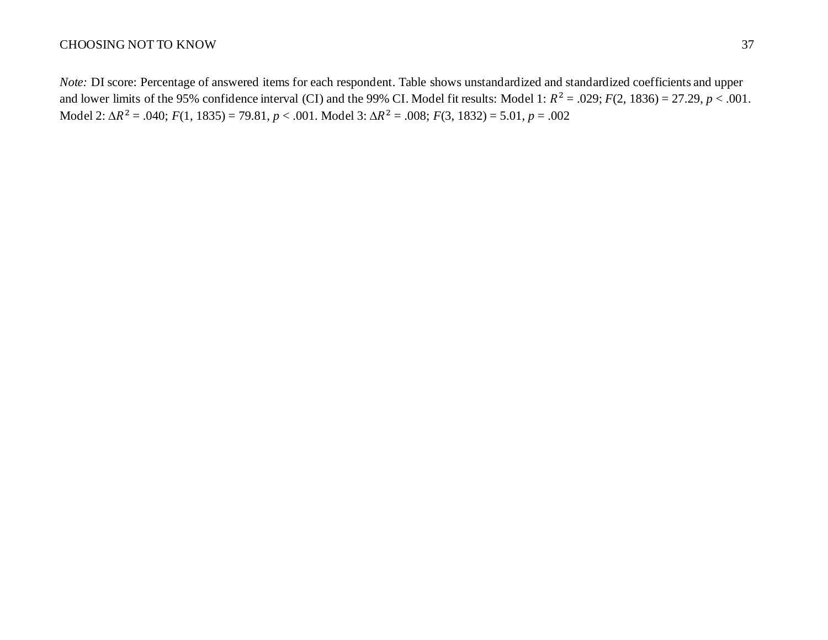*Note:* DI score: Percentage of answered items for each respondent. Table shows unstandardized and standardized coefficients and upper and lower limits of the 95% confidence interval (CI) and the 99% CI. Model fit results: Model 1:  $R^2 = .029$ ;  $F(2, 1836) = 27.29$ ,  $p < .001$ . Model 2: <sup>2</sup> = .040; *F*(1, 1835) = 79.81, *p* < .001. Model 3: <sup>2</sup> = .008; *F*(3, 1832) = 5.01, *p* = .002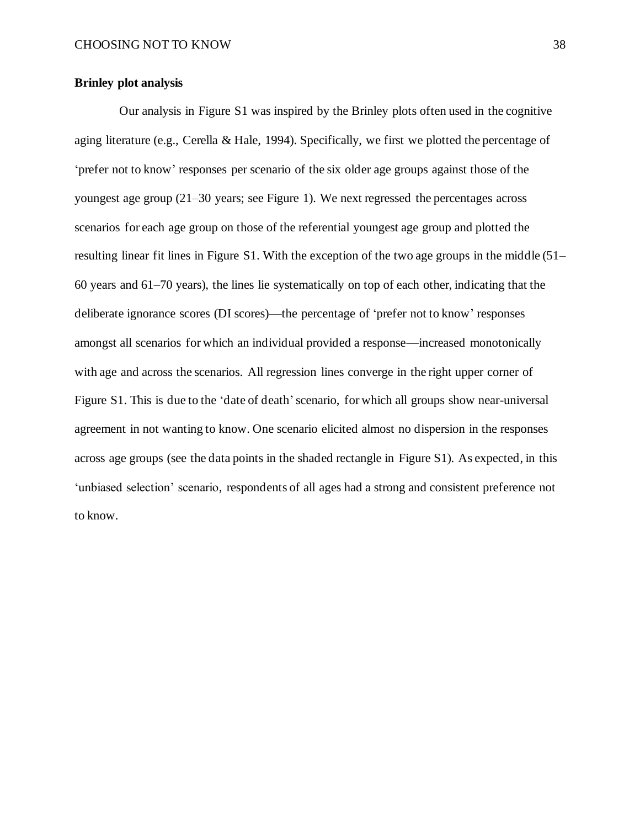### **Brinley plot analysis**

Our analysis in Figure S1 was inspired by the Brinley plots often used in the cognitive aging literature (e.g., Cerella & Hale, 1994). Specifically, we first we plotted the percentage of 'prefer not to know' responses per scenario of the six older age groups against those of the youngest age group (21–30 years; see Figure 1). We next regressed the percentages across scenarios for each age group on those of the referential youngest age group and plotted the resulting linear fit lines in Figure S1. With the exception of the two age groups in the middle (51– 60 years and 61–70 years), the lines lie systematically on top of each other, indicating that the deliberate ignorance scores (DI scores)—the percentage of 'prefer not to know' responses amongst all scenarios for which an individual provided a response—increased monotonically with age and across the scenarios. All regression lines converge in the right upper corner of Figure S1. This is due to the 'date of death' scenario, for which all groups show near-universal agreement in not wanting to know. One scenario elicited almost no dispersion in the responses across age groups (see the data points in the shaded rectangle in Figure S1). As expected, in this 'unbiased selection' scenario, respondents of all ages had a strong and consistent preference not to know.